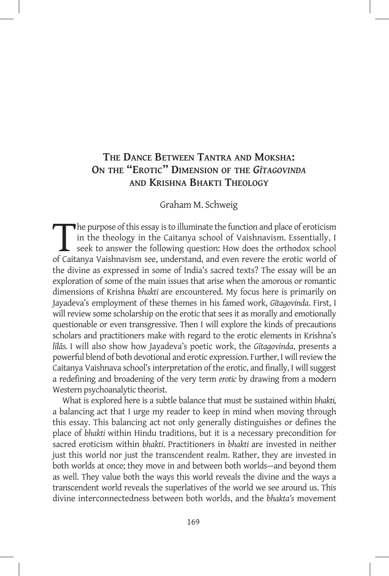# **The Dance Between Tantra and Moksha: On the "Erotic" Dimension of the** *Gītagovinda* **and Krishna Bhakti Theology**

### Graham M. Schweig

The purpose of this essay is to illuminate the function and place of eroticism<br>in the theology in the Caitanya school of Vaishnavism. Essentially, I<br>seek to answer the following question: How does the orthodox school<br>of Ca in the theology in the Caitanya school of Vaishnavism. Essentially, I seek to answer the following question: How does the orthodox school of Caitanya Vaishnavism see, understand, and even revere the erotic world of the divine as expressed in some of India's sacred texts? The essay will be an exploration of some of the main issues that arise when the amorous or romantic dimensions of Krishna *bhakti* are encountered. My focus here is primarily on Jayadeva's employment of these themes in his famed work, *Gītagovinda*. First, I will review some scholarship on the erotic that sees it as morally and emotionally questionable or even transgressive. Then I will explore the kinds of precautions scholars and practitioners make with regard to the erotic elements in Krishna's *līlās.* I will also show how Jayadeva's poetic work, the *Gītagovinda*, presents a powerful blend of both devotional and erotic expression. Further, I will review the Caitanya Vaishnava school's interpretation of the erotic, and finally, I will suggest a redefining and broadening of the very term *erotic* by drawing from a modern Western psychoanalytic theorist.

What is explored here is a subtle balance that must be sustained within *bhakti,*  a balancing act that I urge my reader to keep in mind when moving through this essay. This balancing act not only generally distinguishes or defines the place of *bhakti* within Hindu traditions, but it is a necessary precondition for sacred eroticism within *bhakti*. Practitioners in *bhakti* are invested in neither just this world nor just the transcendent realm. Rather, they are invested in both worlds at once; they move in and between both worlds—and beyond them as well. They value both the ways this world reveals the divine and the ways a transcendent world reveals the superlatives of the world we see around us. This divine interconnectedness between both worlds, and the *bhakta's* movement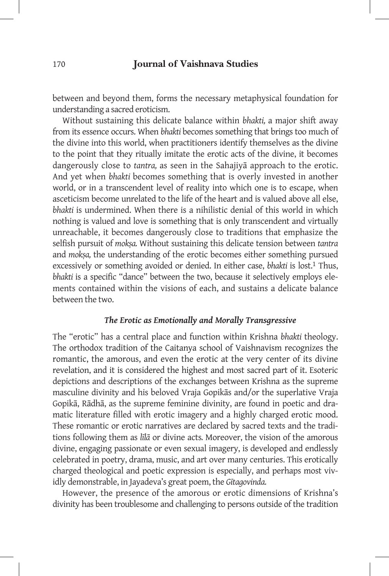between and beyond them, forms the necessary metaphysical foundation for understanding a sacred eroticism.

Without sustaining this delicate balance within *bhakti,* a major shift away from its essence occurs. When *bhakti* becomes something that brings too much of the divine into this world, when practitioners identify themselves as the divine to the point that they ritually imitate the erotic acts of the divine, it becomes dangerously close to *tantra,* as seen in the Sahajiyā approach to the erotic. And yet when *bhakti* becomes something that is overly invested in another world, or in a transcendent level of reality into which one is to escape, when asceticism become unrelated to the life of the heart and is valued above all else, *bhakti* is undermined. When there is a nihilistic denial of this world in which nothing is valued and love is something that is only transcendent and virtually unreachable, it becomes dangerously close to traditions that emphasize the selfish pursuit of *mokṣa.* Without sustaining this delicate tension between *tantra*  and *mokṣa,* the understanding of the erotic becomes either something pursued excessively or something avoided or denied. In either case, *bhakti* is lost.1 Thus, *bhakti* is a specific "dance" between the two, because it selectively employs elements contained within the visions of each, and sustains a delicate balance between the two.

## *The Erotic as Emotionally and Morally Transgressive*

The "erotic" has a central place and function within Krishna *bhakti* theology. The orthodox tradition of the Caitanya school of Vaishnavism recognizes the romantic, the amorous, and even the erotic at the very center of its divine revelation, and it is considered the highest and most sacred part of it. Esoteric depictions and descriptions of the exchanges between Krishna as the supreme masculine divinity and his beloved Vraja Gopikās and/or the superlative Vraja Gopikā, Rādhā, as the supreme feminine divinity, are found in poetic and dramatic literature filled with erotic imagery and a highly charged erotic mood. These romantic or erotic narratives are declared by sacred texts and the traditions following them as *līlā* or divine acts*.* Moreover, the vision of the amorous divine, engaging passionate or even sexual imagery, is developed and endlessly celebrated in poetry, drama, music, and art over many centuries. This erotically charged theological and poetic expression is especially, and perhaps most vividly demonstrable, in Jayadeva's great poem, the *Gītagovinda.* 

However, the presence of the amorous or erotic dimensions of Krishna's divinity has been troublesome and challenging to persons outside of the tradition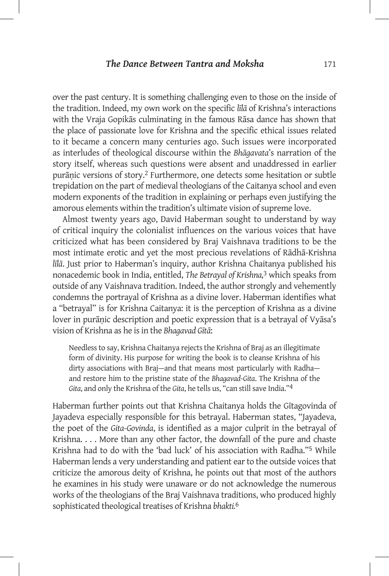over the past century. It is something challenging even to those on the inside of the tradition. Indeed, my own work on the specific *līlā* of Krishna's interactions with the Vraja Gopikās culminating in the famous Rāsa dance has shown that the place of passionate love for Krishna and the specific ethical issues related to it became a concern many centuries ago. Such issues were incorporated as interludes of theological discourse within the *Bhāgavata*'s narration of the story itself, whereas such questions were absent and unaddressed in earlier purāṇic versions of story.2 Furthermore, one detects some hesitation or subtle trepidation on the part of medieval theologians of the Caitanya school and even modern exponents of the tradition in explaining or perhaps even justifying the amorous elements within the tradition's ultimate vision of supreme love.

Almost twenty years ago, David Haberman sought to understand by way of critical inquiry the colonialist influences on the various voices that have criticized what has been considered by Braj Vaishnava traditions to be the most intimate erotic and yet the most precious revelations of Rādhā-Krishna *līlā*. Just prior to Haberman's inquiry, author Krishna Chaitanya published his nonacedemic book in India, entitled, *The Betrayal of Krishna,*3 which speaks from outside of any Vaishnava tradition. Indeed, the author strongly and vehemently condemns the portrayal of Krishna as a divine lover. Haberman identifies what a "betrayal" is for Krishna Caitanya: it is the perception of Krishna as a divine lover in purāṇic description and poetic expression that is a betrayal of Vyāsa's vision of Krishna as he is in the *Bhagavad Gītā*:

Needless to say, Krishna Chaitanya rejects the Krishna of Braj as an illegitimate form of divinity. His purpose for writing the book is to cleanse Krishna of his dirty associations with Braj—and that means most particularly with Radha and restore him to the pristine state of the *Bhagavad-Gita*. The Krishna of the *Gita*, and only the Krishna of the *Gita*, he tells us, "can still save India."4

Haberman further points out that Krishna Chaitanya holds the Gītagovinda of Jayadeva especially responsible for this betrayal. Haberman states, "Jayadeva, the poet of the *Gita-Govinda*, is identified as a major culprit in the betrayal of Krishna. . . . More than any other factor, the downfall of the pure and chaste Krishna had to do with the 'bad luck' of his association with Radha."5 While Haberman lends a very understanding and patient ear to the outside voices that criticize the amorous deity of Krishna, he points out that most of the authors he examines in his study were unaware or do not acknowledge the numerous works of the theologians of the Braj Vaishnava traditions, who produced highly sophisticated theological treatises of Krishna *bhakti.*6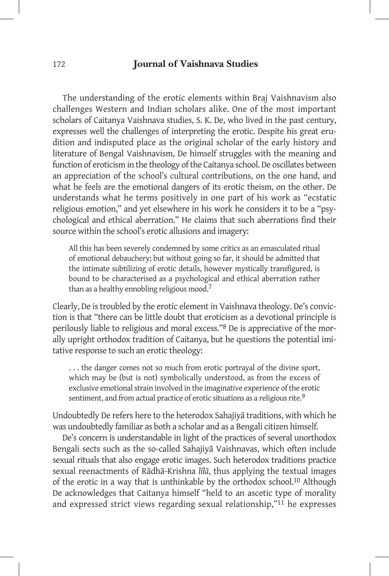The understanding of the erotic elements within Braj Vaishnavism also challenges Western and Indian scholars alike. One of the most important scholars of Caitanya Vaishnava studies, S. K. De, who lived in the past century, expresses well the challenges of interpreting the erotic. Despite his great erudition and indisputed place as the original scholar of the early history and literature of Bengal Vaishnavism, De himself struggles with the meaning and function of eroticism in the theology of the Caitanya school. De oscillates between an appreciation of the school's cultural contributions, on the one hand, and what he feels are the emotional dangers of its erotic theism, on the other. De understands what he terms positively in one part of his work as "ecstatic religious emotion," and yet elsewhere in his work he considers it to be a "psychological and ethical aberration." He claims that such aberrations find their source within the school's erotic allusions and imagery:

All this has been severely condemned by some critics as an emasculated ritual of emotional debauchery; but without going so far, it should be admitted that the intimate subtilizing of erotic details, however mystically transfigured, is bound to be characterised as a psychological and ethical aberration rather than as a healthy ennobling religious mood.7

Clearly, De is troubled by the erotic element in Vaishnava theology. De's conviction is that "there can be little doubt that eroticism as a devotional principle is perilously liable to religious and moral excess."8 De is appreciative of the morally upright orthodox tradition of Caitanya, but he questions the potential imitative response to such an erotic theology:

. . . the danger comes not so much from erotic portrayal of the divine sport, which may be (but is not) symbolically understood, as from the excess of exclusive emotional strain involved in the imaginative experience of the erotic sentiment, and from actual practice of erotic situations as a religious rite.<sup>9</sup>

Undoubtedly De refers here to the heterodox Sahajiyā traditions, with which he was undoubtedly familiar as both a scholar and as a Bengali citizen himself.

De's concern is understandable in light of the practices of several unorthodox Bengali sects such as the so-called Sahajiyā Vaishnavas, which often include sexual rituals that also engage erotic images. Such heterodox traditions practice sexual reenactments of Rādhā-Krishna *līlā*, thus applying the textual images of the erotic in a way that is unthinkable by the orthodox school.10 Although De acknowledges that Caitanya himself "held to an ascetic type of morality and expressed strict views regarding sexual relationship,"11 he expresses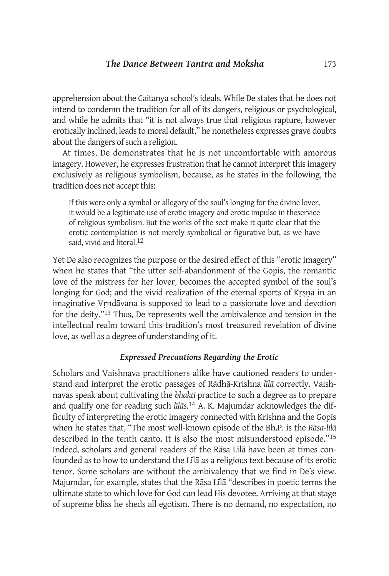apprehension about the Caitanya school's ideals. While De states that he does not intend to condemn the tradition for all of its dangers, religious or psychological, and while he admits that "it is not always true that religious rapture, however erotically inclined, leads to moral default," he nonetheless expresses grave doubts about the dangers of such a religion.

At times, De demonstrates that he is not uncomfortable with amorous imagery. However, he expresses frustration that he cannot interpret this imagery exclusively as religious symbolism, because, as he states in the following, the tradition does not accept this:

If this were only a symbol or allegory of the soul's longing for the divine lover, it would be a legitimate use of erotic imagery and erotic impulse in theservice of religious symbolism. But the works of the sect make it quite clear that the erotic contemplation is not merely symbolical or figurative but, as we have said, vivid and literal.<sup>12</sup>

Yet De also recognizes the purpose or the desired effect of this "erotic imagery" when he states that "the utter self-abandonment of the Gopis, the romantic love of the mistress for her lover, becomes the accepted symbol of the soul's longing for God; and the vivid realization of the eternal sports of Krsna in an imaginative Vṛndāvana is supposed to lead to a passionate love and devotion for the deity."13 Thus, De represents well the ambivalence and tension in the intellectual realm toward this tradition's most treasured revelation of divine love, as well as a degree of understanding of it.

#### *Expressed Precautions Regarding the Erotic*

Scholars and Vaishnava practitioners alike have cautioned readers to understand and interpret the erotic passages of Rādhā-Krishna *līlā* correctly. Vaishnavas speak about cultivating the *bhakti* practice to such a degree as to prepare and qualify one for reading such *līlās*. 14 A. K. Majumdar acknowledges the difficulty of interpreting the erotic imagery connected with Krishna and the Gopīs when he states that, "The most well-known episode of the Bh.P. is the *Rāsa-līlā*  described in the tenth canto. It is also the most misunderstood episode."15 Indeed, scholars and general readers of the Rāsa Līlā have been at times confounded as to how to understand the Līlā as a religious text because of its erotic tenor. Some scholars are without the ambivalency that we find in De's view. Majumdar, for example, states that the Rāsa Līlā "describes in poetic terms the ultimate state to which love for God can lead His devotee. Arriving at that stage of supreme bliss he sheds all egotism. There is no demand, no expectation, no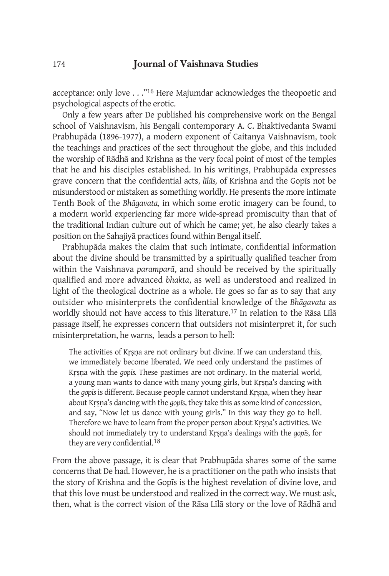acceptance: only love . . ."16 Here Majumdar acknowledges the theopoetic and psychological aspects of the erotic.

Only a few years after De published his comprehensive work on the Bengal school of Vaishnavism, his Bengali contemporary A. C. Bhaktivedanta Swami Prabhupāda (1896-1977), a modern exponent of Caitanya Vaishnavism, took the teachings and practices of the sect throughout the globe, and this included the worship of Rādhā and Krishna as the very focal point of most of the temples that he and his disciples established. In his writings, Prabhupāda expresses grave concern that the confidential acts, *līlās,* of Krishna and the Gopīs not be misunderstood or mistaken as something worldly. He presents the more intimate Tenth Book of the *Bhāgavata,* in which some erotic imagery can be found, to a modern world experiencing far more wide-spread promiscuity than that of the traditional Indian culture out of which he came; yet, he also clearly takes a position on the Sahajiyā practices found within Bengal itself.

Prabhupāda makes the claim that such intimate, confidential information about the divine should be transmitted by a spiritually qualified teacher from within the Vaishnava *paramparā*, and should be received by the spiritually qualified and more advanced *bhakta*, as well as understood and realized in light of the theological doctrine as a whole. He goes so far as to say that any outsider who misinterprets the confidential knowledge of the *Bhāgavata* as worldly should not have access to this literature.17 In relation to the Rāsa Līlā passage itself, he expresses concern that outsiders not misinterpret it, for such misinterpretation, he warns, leads a person to hell:

The activities of Krsna are not ordinary but divine. If we can understand this, we immediately become liberated. We need only understand the pastimes of Kṛṣṇa with the *gopīs.* These pastimes are not ordinary. In the material world, a young man wants to dance with many young girls, but Kṛṣṇa's dancing with the *gopīs* is different. Because people cannot understand Kṛṣṇa, when they hear about Kṛṣṇa's dancing with the *gopīs*, they take this as some kind of concession, and say, "Now let us dance with young girls." In this way they go to hell. Therefore we have to learn from the proper person about Kṛṣṇa's activities. We should not immediately try to understand Kṛṣṇa's dealings with the *gopīs,* for they are very confidential.18

From the above passage, it is clear that Prabhupāda shares some of the same concerns that De had. However, he is a practitioner on the path who insists that the story of Krishna and the Gopīs is the highest revelation of divine love, and that this love must be understood and realized in the correct way. We must ask, then, what is the correct vision of the Rāsa Līlā story or the love of Rādhā and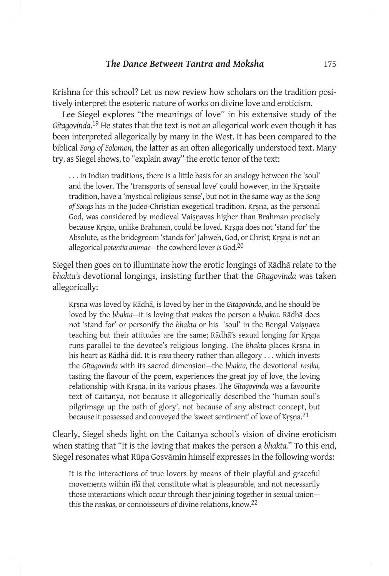Krishna for this school? Let us now review how scholars on the tradition positively interpret the esoteric nature of works on divine love and eroticism.

Lee Siegel explores "the meanings of love" in his extensive study of the *Gītagovinda*. 19 He states that the text is not an allegorical work even though it has been interpreted allegorically by many in the West. It has been compared to the biblical *Song of Solomon*, the latter as an often allegorically understood text. Many try, as Siegel shows, to "explain away" the erotic tenor of the text:

. . . in Indian traditions, there is a little basis for an analogy between the 'soul' and the lover. The 'transports of sensual love' could however, in the Krsnaite tradition, have a 'mystical religious sense', but not in the same way as the *Song of Songs* has in the Judeo-Christian exegetical tradition. Kṛṣṇa, as the personal God, was considered by medieval Vaiṣṇavas higher than Brahman precisely because Kṛṣṇa, unlike Brahman, could be loved. Kṛṣṇa does not 'stand for' the Absolute, as the bridegroom 'stands for' Jahweh, God, or Christ; Kṛṣṇa is not an allegorical *potentia animae*—the cowherd lover *is* God.20

Siegel then goes on to illuminate how the erotic longings of Rādhā relate to the *bhakta's* devotional longings, insisting further that the *Gītagovinda* was taken allegorically:

Kṛṣṇa was loved by Rādhā, is loved by her in the *Gītagovinda,* and he should be loved by the *bhakta*—it is loving that makes the person a *bhakta.* Rādhā does not 'stand for' or personify the *bhakta* or his 'soul' in the Bengal Vaiṣṇava teaching but their attitudes are the same; Rādhā's sexual longing for Kṛṣṇa runs parallel to the devotee's religious longing. The *bhakta* places Kṛṣṇa in his heart as Rādhā did. It is *rasa* theory rather than allegory . . . which invests the *Gītagovinda* with its sacred dimension—the *bhakta,* the devotional *rasika,*  tasting the flavour of the poem, experiences the great joy of love, the loving relationship with Kṛṣṇa, in its various phases. The *Gītagovinda* was a favourite text of Caitanya, not because it allegorically described the 'human soul's pilgrimage up the path of glory', not because of any abstract concept, but because it possessed and conveyed the 'sweet sentiment' of love of Kṛṣṇa.21

Clearly, Siegel sheds light on the Caitanya school's vision of divine eroticism when stating that "it is the loving that makes the person a *bhakta.*" To this end, Siegel resonates what Rūpa Gosvāmin himself expresses in the following words:

It is the interactions of true lovers by means of their playful and graceful movements within *līlā* that constitute what is pleasurable, and not necessarily those interactions which occur through their joining together in sexual union this the *rasikas*, or connoisseurs of divine relations, know.22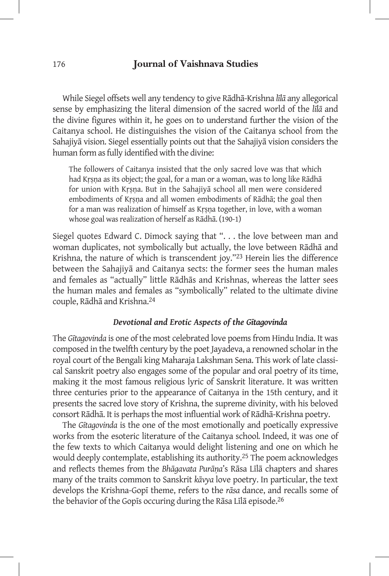While Siegel offsets well any tendency to give Rādhā-Krishna *līlā* any allegorical sense by emphasizing the literal dimension of the sacred world of the *līlā* and the divine figures within it, he goes on to understand further the vision of the Caitanya school. He distinguishes the vision of the Caitanya school from the Sahajiyā vision. Siegel essentially points out that the Sahajiyā vision considers the human form as fully identified with the divine:

The followers of Caitanya insisted that the only sacred love was that which had Krsna as its object; the goal, for a man or a woman, was to long like Rādhā for union with Kṛṣṇa. But in the Sahajiyā school all men were considered embodiments of Kṛṣṇa and all women embodiments of Rādhā; the goal then for a man was realization of himself as Kṛṣṇa together, in love, with a woman whose goal was realization of herself as Rādhā. (190-1)

Siegel quotes Edward C. Dimock saying that ". . . the love between man and woman duplicates, not symbolically but actually, the love between Rādhā and Krishna, the nature of which is transcendent joy."23 Herein lies the difference between the Sahajiyā and Caitanya sects: the former sees the human males and females as "actually" little Rādhās and Krishnas, whereas the latter sees the human males and females as "symbolically" related to the ultimate divine couple, Rādhā and Krishna.24

## *Devotional and Erotic Aspects of the Gītagovinda*

The *Gītagovinda* is one of the most celebrated love poems from Hindu India. It was composed in the twelfth century by the poet Jayadeva, a renowned scholar in the royal court of the Bengali king Maharaja Lakshman Sena. This work of late classical Sanskrit poetry also engages some of the popular and oral poetry of its time, making it the most famous religious lyric of Sanskrit literature. It was written three centuries prior to the appearance of Caitanya in the 15th century, and it presents the sacred love story of Krishna, the supreme divinity, with his beloved consort Rādhā. It is perhaps the most influential work of Rādhā-Krishna poetry.

The *Gītagovinda* is the one of the most emotionally and poetically expressive works from the esoteric literature of the Caitanya school*.* Indeed, it was one of the few texts to which Caitanya would delight listening and one on which he would deeply contemplate, establishing its authority.<sup>25</sup> The poem acknowledges and reflects themes from the *Bhāgavata Purāṇa*'s Rāsa Līlā chapters and shares many of the traits common to Sanskrit *kāvya* love poetry. In particular, the text develops the Krishna-Gopī theme, refers to the *rāsa* dance, and recalls some of the behavior of the Gopīs occuring during the Rāsa Līlā episode. 26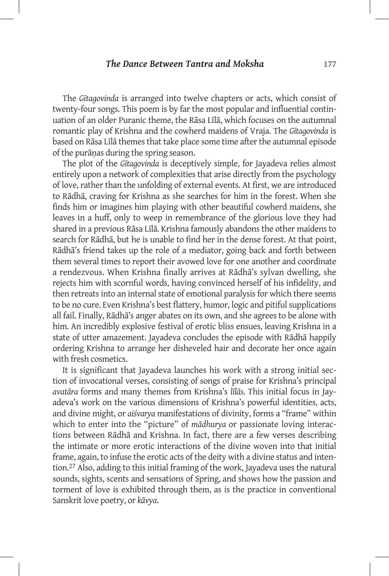The *Gītagovinda* is arranged into twelve chapters or acts, which consist of twenty-four songs. This poem is by far the most popular and influential continuation of an older Puranic theme, the Rāsa Līlā, which focuses on the autumnal romantic play of Krishna and the cowherd maidens of Vraja. The *Gītagovinda* is based on Rāsa Līlā themes that take place some time after the autumnal episode of the purāṇas during the spring season.

The plot of the *Gītagovinda* is deceptively simple, for Jayadeva relies almost entirely upon a network of complexities that arise directly from the psychology of love, rather than the unfolding of external events. At first, we are introduced to Rādhā, craving for Krishna as she searches for him in the forest. When she finds him or imagines him playing with other beautiful cowherd maidens, she leaves in a huff, only to weep in remembrance of the glorious love they had shared in a previous Rāsa Līlā. Krishna famously abandons the other maidens to search for Rādhā, but he is unable to find her in the dense forest. At that point, Rādhā's friend takes up the role of a mediator, going back and forth between them several times to report their avowed love for one another and coordinate a rendezvous. When Krishna finally arrives at Rādhā's sylvan dwelling, she rejects him with scornful words, having convinced herself of his infidelity, and then retreats into an internal state of emotional paralysis for which there seems to be no cure. Even Krishna's best flattery, humor, logic and pitiful supplications all fail. Finally, Rādhā's anger abates on its own, and she agrees to be alone with him. An incredibly explosive festival of erotic bliss ensues, leaving Krishna in a state of utter amazement. Jayadeva concludes the episode with Rādhā happily ordering Krishna to arrange her disheveled hair and decorate her once again with fresh cosmetics.

It is significant that Jayadeva launches his work with a strong initial section of invocational verses, consisting of songs of praise for Krishna's principal *avatāra* forms and many themes from Krishna's *līlās.* This initial focus in Jayadeva's work on the various dimensions of Krishna's powerful identities, acts, and divine might, or *aiśvarya* manifestations of divinity, forms a "frame" within which to enter into the "picture" of *mādhurya* or passionate loving interactions between Rādhā and Krishna. In fact, there are a few verses describing the intimate or more erotic interactions of the divine woven into that initial frame, again, to infuse the erotic acts of the deity with a divine status and intention.27 Also, adding to this initial framing of the work, Jayadeva uses the natural sounds, sights, scents and sensations of Spring, and shows how the passion and torment of love is exhibited through them, as is the practice in conventional Sanskrit love poetry, or *kāvya*.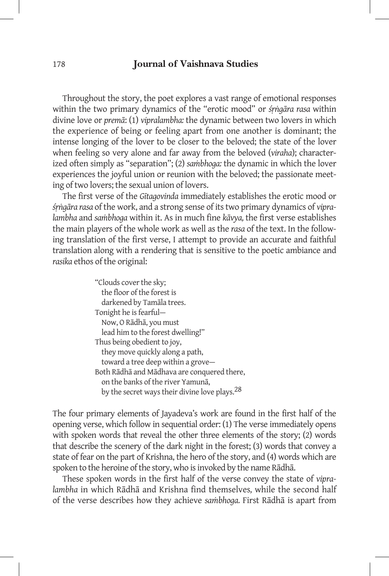Throughout the story, the poet explores a vast range of emotional responses within the two primary dynamics of the "erotic mood" or *śṛṅgāra rasa* within divine love or *premā*: (1) *vipralambha:* the dynamic between two lovers in which the experience of being or feeling apart from one another is dominant; the intense longing of the lover to be closer to the beloved; the state of the lover when feeling so very alone and far away from the beloved (*viraha*); characterized often simply as "separation"; (2) *saṁbhoga:* the dynamic in which the lover experiences the joyful union or reunion with the beloved; the passionate meeting of two lovers; the sexual union of lovers.

The first verse of the *Gītagovinda* immediately establishes the erotic mood or *śṛṅgāra rasa* of the work, and a strong sense of its two primary dynamics of *vipralambha* and *saṁbhoga* within it. As in much fine *kāvya,* the first verse establishes the main players of the whole work as well as the *rasa* of the text. In the following translation of the first verse, I attempt to provide an accurate and faithful translation along with a rendering that is sensitive to the poetic ambiance and *rasika* ethos of the original:

| "Clouds cover the sky;                                    |
|-----------------------------------------------------------|
| the floor of the forest is                                |
| darkened by Tamala trees.                                 |
| Tonight he is fearful-                                    |
| Now, O Rādhā, you must                                    |
| lead him to the forest dwelling!"                         |
| Thus being obedient to joy,                               |
| they move quickly along a path,                           |
| toward a tree deep within a grove-                        |
| Both Rādhā and Mādhava are conquered there,               |
| on the banks of the river Yamuna,                         |
| by the secret ways their divine love plays. <sup>28</sup> |
|                                                           |

The four primary elements of Jayadeva's work are found in the first half of the opening verse, which follow in sequential order: (1) The verse immediately opens with spoken words that reveal the other three elements of the story; (2) words that describe the scenery of the dark night in the forest; (3) words that convey a state of fear on the part of Krishna, the hero of the story, and (4) words which are spoken to the heroine of the story, who is invoked by the name Rādhā.

These spoken words in the first half of the verse convey the state of *vipralambha* in which Rādhā and Krishna find themselves*,* while the second half of the verse describes how they achieve *saṁbhoga.* First Rādhā is apart from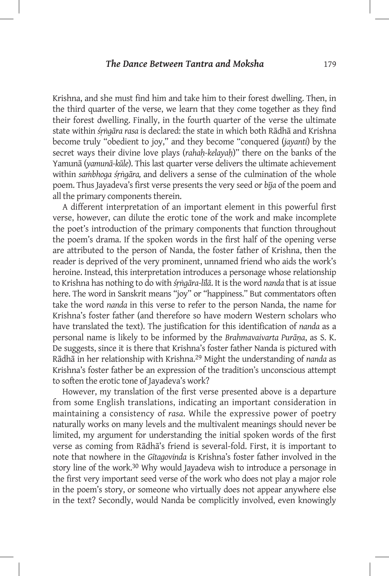Krishna, and she must find him and take him to their forest dwelling. Then, in the third quarter of the verse, we learn that they come together as they find their forest dwelling. Finally, in the fourth quarter of the verse the ultimate state within *śṛṅgāra rasa* is declared: the state in which both Rādhā and Krishna become truly "obedient to joy," and they become "conquered (*jayanti*) by the secret ways their divine love plays (*rahaḥ-kelayaḥ*)" there on the banks of the Yamunā (*yamunā-kūle*). This last quarter verse delivers the ultimate achievement within *saṁbhoga śṛṅgāra,* and delivers a sense of the culmination of the whole poem. Thus Jayadeva's first verse presents the very seed or *bīja* of the poem and all the primary components therein.

A different interpretation of an important element in this powerful first verse, however, can dilute the erotic tone of the work and make incomplete the poet's introduction of the primary components that function throughout the poem's drama. If the spoken words in the first half of the opening verse are attributed to the person of Nanda, the foster father of Krishna, then the reader is deprived of the very prominent, unnamed friend who aids the work's heroine. Instead, this interpretation introduces a personage whose relationship to Krishna has nothing to do with *śṛṅgāra-līlā*. It is the word *nanda* that is at issue here. The word in Sanskrit means "joy" or "happiness." But commentators often take the word *nanda* in this verse to refer to the person Nanda, the name for Krishna's foster father (and therefore so have modern Western scholars who have translated the text). The justification for this identification of *nanda* as a personal name is likely to be informed by the *Brahmavaivarta Purāṇa*, as S. K. De suggests, since it is there that Krishna's foster father Nanda is pictured with Rādhā in her relationship with Krishna.29 Might the understanding of *nanda* as Krishna's foster father be an expression of the tradition's unconscious attempt to soften the erotic tone of Jayadeva's work?

However, my translation of the first verse presented above is a departure from some English translations, indicating an important consideration in maintaining a consistency of *rasa*. While the expressive power of poetry naturally works on many levels and the multivalent meanings should never be limited, my argument for understanding the initial spoken words of the first verse as coming from Rādhā's friend is several-fold. First, it is important to note that nowhere in the *Gītagovinda* is Krishna's foster father involved in the story line of the work.<sup>30</sup> Why would Jayadeva wish to introduce a personage in the first very important seed verse of the work who does not play a major role in the poem's story, or someone who virtually does not appear anywhere else in the text? Secondly, would Nanda be complicitly involved, even knowingly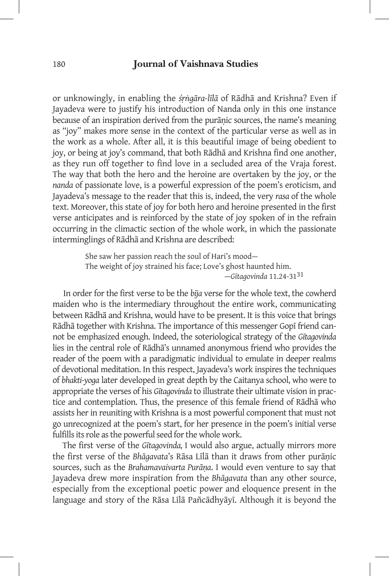or unknowingly, in enabling the *śṛṅgāra-līlā* of Rādhā and Krishna? Even if Jayadeva were to justify his introduction of Nanda only in this one instance because of an inspiration derived from the purāṇic sources, the name's meaning as "joy" makes more sense in the context of the particular verse as well as in the work as a whole. After all, it is this beautiful image of being obedient to joy, or being at joy's command, that both Rādhā and Krishna find one another, as they run off together to find love in a secluded area of the Vraja forest. The way that both the hero and the heroine are overtaken by the joy, or the *nanda* of passionate love, is a powerful expression of the poem's eroticism, and Jayadeva's message to the reader that this is, indeed, the very *rasa* of the whole text. Moreover, this state of joy for both hero and heroine presented in the first verse anticipates and is reinforced by the state of joy spoken of in the refrain occurring in the climactic section of the whole work, in which the passionate interminglings of Rādhā and Krishna are described:

> She saw her passion reach the soul of Hari's mood— The weight of joy strained his face; Love's ghost haunted him. —*Gītagovinda* 11.24-3131

 In order for the first verse to be the *bīja* verse for the whole text, the cowherd maiden who is the intermediary throughout the entire work, communicating between Rādhā and Krishna, would have to be present. It is this voice that brings Rādhā together with Krishna. The importance of this messenger Gopī friend cannot be emphasized enough. Indeed, the soteriological strategy of the *Gītagovinda* lies in the central role of Rādhā's unnamed anonymous friend who provides the reader of the poem with a paradigmatic individual to emulate in deeper realms of devotional meditation. In this respect, Jayadeva's work inspires the techniques of *bhakti-yoga* later developed in great depth by the Caitanya school, who were to appropriate the verses of his *Gītagovinda* to illustrate their ultimate vision in practice and contemplation. Thus, the presence of this female friend of Rādhā who assists her in reuniting with Krishna is a most powerful component that must not go unrecognized at the poem's start, for her presence in the poem's initial verse fulfills its role as the powerful seed for the whole work.

The first verse of the *Gītagovinda,* I would also argue, actually mirrors more the first verse of the *Bhāgavata*'s Rāsa Līlā than it draws from other purāṇic sources, such as the *Brahamavaivarta Purāṇa*. I would even venture to say that Jayadeva drew more inspiration from the *Bhāgavata* than any other source, especially from the exceptional poetic power and eloquence present in the language and story of the Rāsa Līlā Pañcādhyāyī. Although it is beyond the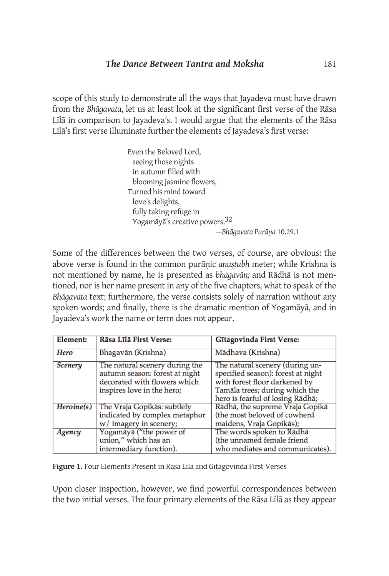scope of this study to demonstrate all the ways that Jayadeva must have drawn from the *Bhāgavata*, let us at least look at the significant first verse of the Rāsa Līlā in comparison to Jayadeva's. I would argue that the elements of the Rāsa Līlā's first verse illuminate further the elements of Jayadeva's first verse:

> Even the Beloved Lord, seeing those nights in autumn filled with blooming jasmine flowers, Turned his mind toward love's delights, fully taking refuge in Yogamāyā's creative powers.32 —*Bhāgavata Purāṇa* 10.29.1

Some of the differences between the two verses, of course, are obvious: the above verse is found in the common purāṇic *anuṣṭubh* meter; while Krishna is not mentioned by name, he is presented as *bhagavān;* and Rādhā is not mentioned, nor is her name present in any of the five chapters, what to speak of the *Bhāgavata* text; furthermore, the verse consists solely of narration without any spoken words; and finally, there is the dramatic mention of Yogamāyā, and in Jayadeva's work the name or term does not appear.

| Element:       | Rāsa Līlā First Verse:                                                                                                         | <b>Gītagovinda First Verse:</b>                                                                                                                                              |
|----------------|--------------------------------------------------------------------------------------------------------------------------------|------------------------------------------------------------------------------------------------------------------------------------------------------------------------------|
| Hero           | Bhagavān (Krishna)                                                                                                             | Mādhava (Krishna)                                                                                                                                                            |
| <b>Scenery</b> | The natural scenery during the<br>autumn season: forest at night<br>decorated with flowers which<br>inspires love in the hero; | The natural scenery (during un-<br>specified season): forest at night<br>with forest floor darkened by<br>Tamāla trees; during which the<br>hero is fearful of losing Rādhā; |
| Heroine(s)     | The Vraja Gopikās: subtlely<br>indicated by complex metaphor<br>w/ imagery in scenery;                                         | Rādhā, the supreme Vraja Gopikā<br>(the most beloved of cowherd<br>maidens, Vraja Gopikās);                                                                                  |
| Agency         | Yogamāyā ("the power of<br>union," which has an<br>intermediary function).                                                     | The words spoken to Rādhā<br>(the unnamed female friend<br>who mediates and communicates).                                                                                   |

**Figure 1.** Four Elements Present in Rāsa Līlā and Gītagovinda First Verses

Upon closer inspection, however, we find powerful correspondences between the two initial verses. The four primary elements of the Rāsa Līlā as they appear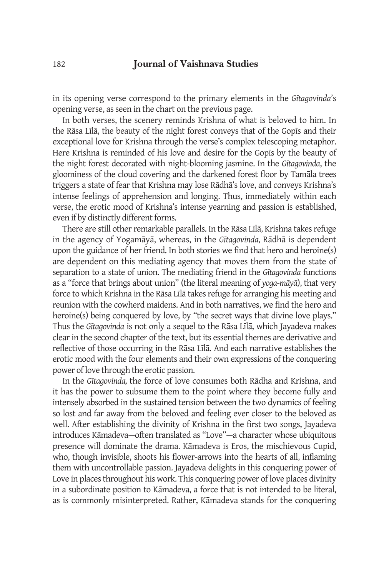in its opening verse correspond to the primary elements in the *Gītagovinda*'s opening verse, as seen in the chart on the previous page.

In both verses, the scenery reminds Krishna of what is beloved to him. In the Rāsa Līlā, the beauty of the night forest conveys that of the Gopīs and their exceptional love for Krishna through the verse's complex telescoping metaphor. Here Krishna is reminded of his love and desire for the Gopīs by the beauty of the night forest decorated with night-blooming jasmine. In the *Gītagovinda*, the gloominess of the cloud covering and the darkened forest floor by Tamāla trees triggers a state of fear that Krishna may lose Rādhā's love, and conveys Krishna's intense feelings of apprehension and longing. Thus, immediately within each verse, the erotic mood of Krishna's intense yearning and passion is established, even if by distinctly different forms.

There are still other remarkable parallels. In the Rāsa Līlā, Krishna takes refuge in the agency of Yogamāyā, whereas, in the *Gītagovinda,* Rādhā is dependent upon the guidance of her friend. In both stories we find that hero and heroine(s) are dependent on this mediating agency that moves them from the state of separation to a state of union. The mediating friend in the *Gītagovinda* functions as a "force that brings about union" (the literal meaning of *yoga-māyā*), that very force to which Krishna in the Rāsa Līlā takes refuge for arranging his meeting and reunion with the cowherd maidens. And in both narratives, we find the hero and heroine(s) being conquered by love, by "the secret ways that divine love plays." Thus the *Gītagovinda* is not only a sequel to the Rāsa Līlā, which Jayadeva makes clear in the second chapter of the text, but its essential themes are derivative and reflective of those occurring in the Rāsa Līlā. And each narrative establishes the erotic mood with the four elements and their own expressions of the conquering power of love through the erotic passion.

In the *Gītagovinda,* the force of love consumes both Rādha and Krishna, and it has the power to subsume them to the point where they become fully and intensely absorbed in the sustained tension between the two dynamics of feeling so lost and far away from the beloved and feeling ever closer to the beloved as well. After establishing the divinity of Krishna in the first two songs, Jayadeva introduces Kāmadeva—often translated as "Love"—a character whose ubiquitous presence will dominate the drama. Kāmadeva is Eros, the mischievous Cupid, who, though invisible, shoots his flower-arrows into the hearts of all, inflaming them with uncontrollable passion. Jayadeva delights in this conquering power of Love in places throughout his work. This conquering power of love places divinity in a subordinate position to Kāmadeva, a force that is not intended to be literal, as is commonly misinterpreted. Rather, Kāmadeva stands for the conquering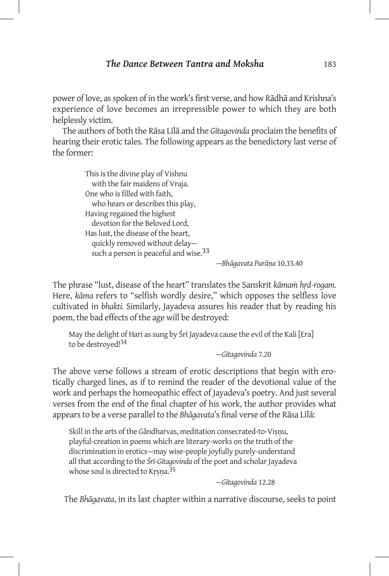power of love, as spoken of in the work's first verse, and how Rādhā and Krishna's experience of love becomes an irrepressible power to which they are both helplessly victim.

The authors of both the Rāsa Līlā and the *Gītagovinda* proclaim the benefits of hearing their erotic tales. The following appears as the benedictory last verse of the former:

> This is the divine play of Vishnu with the fair maidens of Vraja. One who is filled with faith, who hears or describes this play, Having regained the highest devotion for the Beloved Lord, Has lust, the disease of the heart, quickly removed without delay such a person is peaceful and wise.<sup>33</sup>

> > —*Bhāgavata Purāṇa* 10.33.40

The phrase "lust, disease of the heart" translates the Sanskrit *kāmaṁ hṛd-rogam.*  Here, *kāma* refers to "selfish wordly desire," which opposes the selfless love cultivated in *bhakti.* Similarly, Jayadeva assures his reader that by reading his poem, the bad effects of the age will be destroyed:

May the delight of Hari as sung by Śrī Jayadeva cause the evil of the Kali [Era] to be destroyed!34

—*Gītagovinda* 7.20

The above verse follows a stream of erotic descriptions that begin with erotically charged lines, as if to remind the reader of the devotional value of the work and perhaps the homeopathic effect of Jayadeva's poetry. And just several verses from the end of the final chapter of his work, the author provides what appears to be a verse parallel to the *Bhāgavata*'s final verse of the Rāsa Līlā:

Skill in the arts of the Gāndharvas, meditation consecrated-to-Visnu, playful-creation in poems which are literary-works on the truth of the discrimination in erotics—may wise-people joyfully purely-understand all that according to the *Śrī-Gītagovinda* of the poet and scholar Jayadeva whose soul is directed to Krsna.<sup>35</sup>

—*Gītagovinda* 12.28

The *Bhāgavata*, in its last chapter within a narrative discourse, seeks to point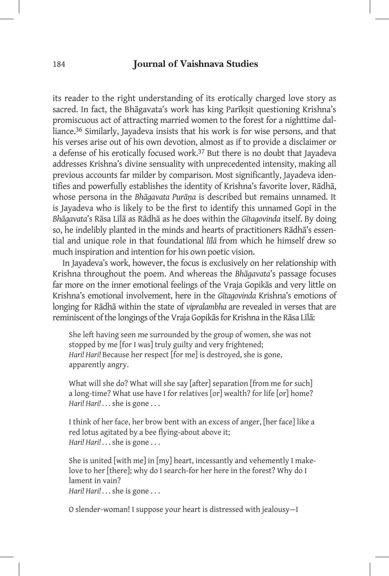its reader to the right understanding of its erotically charged love story as sacred. In fact, the Bhāgavata's work has king Parīksit questioning Krishna's promiscuous act of attracting married women to the forest for a nighttime dalliance.36 Similarly, Jayadeva insists that his work is for wise persons, and that his verses arise out of his own devotion, almost as if to provide a disclaimer or a defense of his erotically focused work.<sup>37</sup> But there is no doubt that Jayadeva addresses Krishna's divine sensuality with unprecedented intensity, making all previous accounts far milder by comparison. Most significantly, Jayadeva identifies and powerfully establishes the identity of Krishna's favorite lover, Rādhā, whose persona in the *Bhāgavata Purāṇa* is described but remains unnamed. It is Jayadeva who is likely to be the first to identify this unnamed Gopī in the *Bhāgavata*'s Rāsa Līlā as Rādhā as he does within the *Gītagovinda* itself. By doing so, he indelibly planted in the minds and hearts of practitioners Rādhā's essential and unique role in that foundational *līlā* from which he himself drew so much inspiration and intention for his own poetic vision.

In Jayadeva's work, however, the focus is exclusively on her relationship with Krishna throughout the poem. And whereas the *Bhāgavata*'s passage focuses far more on the inner emotional feelings of the Vraja Gopikās and very little on Krishna's emotional involvement, here in the *Gītagovinda* Krishna's emotions of longing for Rādhā within the state of *vipralambha* are revealed in verses that are reminiscent of the longings of the Vraja Gopikās for Krishna in the Rāsa Līlā:

She left having seen me surrounded by the group of women, she was not stopped by me [for I was] truly guilty and very frightened; *Hari! Hari!* Because her respect [for me] is destroyed, she is gone, apparently angry.

What will she do? What will she say [after] separation [from me for such] a long-time? What use have I for relatives [or] wealth? for life [or] home? *Hari! Hari! . . .* she is gone . . .

I think of her face, her brow bent with an excess of anger, [her face] like a red lotus agitated by a bee flying-about above it; *Hari! Hari! . . .* she is gone . . .

She is united [with me] in [my] heart, incessantly and vehemently I makelove to her [there]; why do I search-for her here in the forest? Why do I lament in vain? *Hari! Hari! . . .* she is gone . . .

O slender-woman! I suppose your heart is distressed with jealousy—I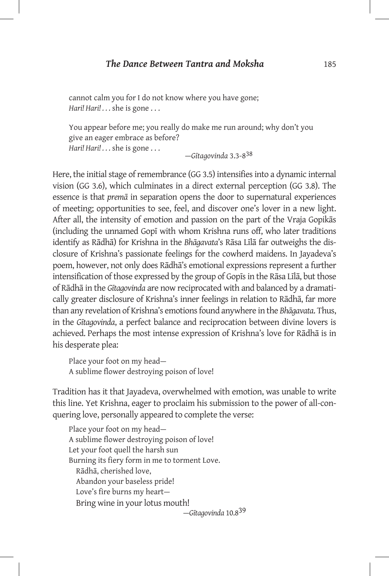cannot calm you for I do not know where you have gone; *Hari! Hari! . . .* she is gone . . .

You appear before me; you really do make me run around; why don't you give an eager embrace as before? *Hari! Hari! . . .* she is gone . . . —*Gītagovinda* 3.3-8<sup>38</sup>

Here, the initial stage of remembrance (GG 3.5) intensifies into a dynamic internal vision (GG 3.6), which culminates in a direct external perception (GG 3.8). The essence is that *premā* in separation opens the door to supernatural experiences of meeting; opportunities to see, feel, and discover one's lover in a new light. After all, the intensity of emotion and passion on the part of the Vraja Gopikās (including the unnamed Gopī with whom Krishna runs off, who later traditions identify as Rādhā) for Krishna in the *Bhāgavata*'s Rāsa Līlā far outweighs the disclosure of Krishna's passionate feelings for the cowherd maidens. In Jayadeva's poem, however, not only does Rādhā's emotional expressions represent a further intensification of those expressed by the group of Gopīs in the Rāsa Līlā, but those of Rādhā in the *Gītagovinda* are now reciprocated with and balanced by a dramatically greater disclosure of Krishna's inner feelings in relation to Rādhā, far more than any revelation of Krishna's emotions found anywhere in the *Bhāgavata*. Thus, in the *Gītagovinda*, a perfect balance and reciprocation between divine lovers is achieved. Perhaps the most intense expression of Krishna's love for Rādhā is in his desperate plea:

Place your foot on my head— A sublime flower destroying poison of love!

Tradition has it that Jayadeva, overwhelmed with emotion, was unable to write this line. Yet Krishna, eager to proclaim his submission to the power of all-conquering love, personally appeared to complete the verse:

Place your foot on my head— A sublime flower destroying poison of love! Let your foot quell the harsh sun Burning its fiery form in me to torment Love. Rādhā, cherished love, Abandon your baseless pride! Love's fire burns my heart— Bring wine in your lotus mouth! —*Gītagovinda* 10.839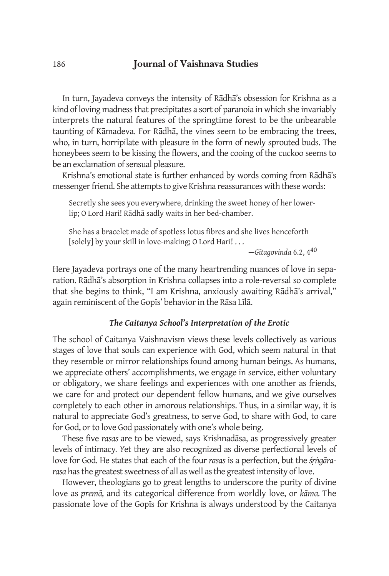In turn, Jayadeva conveys the intensity of Rādhā's obsession for Krishna as a kind of loving madness that precipitates a sort of paranoia in which she invariably interprets the natural features of the springtime forest to be the unbearable taunting of Kāmadeva. For Rādhā, the vines seem to be embracing the trees, who, in turn, horripilate with pleasure in the form of newly sprouted buds. The honeybees seem to be kissing the flowers, and the cooing of the cuckoo seems to be an exclamation of sensual pleasure.

Krishna's emotional state is further enhanced by words coming from Rādhā's messenger friend. She attempts to give Krishna reassurances with these words:

Secretly she sees you everywhere, drinking the sweet honey of her lowerlip; O Lord Hari! Rādhā sadly waits in her bed-chamber.

She has a bracelet made of spotless lotus fibres and she lives henceforth [solely] by your skill in love-making; O Lord Hari! . . .

—*Gītagovinda* 6.2, 440

Here Jayadeva portrays one of the many heartrending nuances of love in separation. Rādhā's absorption in Krishna collapses into a role-reversal so complete that she begins to think, "I am Krishna, anxiously awaiting Rādhā's arrival," again reminiscent of the Gopīs' behavior in the Rāsa Līlā.

#### *The Caitanya School's Interpretation of the Erotic*

The school of Caitanya Vaishnavism views these levels collectively as various stages of love that souls can experience with God, which seem natural in that they resemble or mirror relationships found among human beings. As humans, we appreciate others' accomplishments, we engage in service, either voluntary or obligatory, we share feelings and experiences with one another as friends, we care for and protect our dependent fellow humans, and we give ourselves completely to each other in amorous relationships. Thus, in a similar way, it is natural to appreciate God's greatness, to serve God, to share with God, to care for God, or to love God passionately with one's whole being.

These five *rasas* are to be viewed, says Krishnadāsa, as progressively greater levels of intimacy*. Y*et they are also recognized as diverse perfectional levels of love for God. He states that each of the four *rasas* is a perfection, but the *śṛṅgārarasa* has the greatest sweetness of all as well as the greatest intensity of love.

However, theologians go to great lengths to underscore the purity of divine love as *premā,* and its categorical difference from worldly love, or *kāma.* The passionate love of the Gopīs for Krishna is always understood by the Caitanya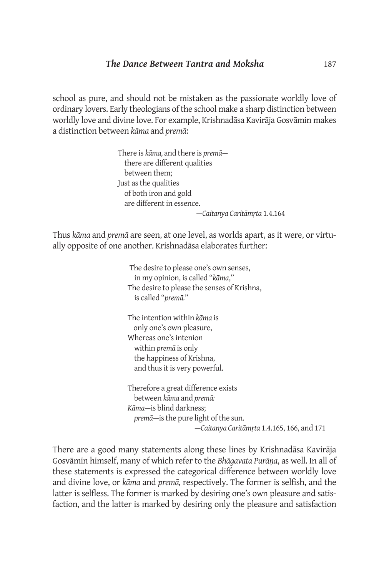school as pure, and should not be mistaken as the passionate worldly love of ordinary lovers. Early theologians of the school make a sharp distinction between worldly love and divine love. For example, Krishnadāsa Kavirāja Gosvāmin makes a distinction between *kāma* and *premā*:

> There is *kāma,* and there is *premā* there are different qualities between them; Just as the qualities of both iron and gold are different in essence. —*Caitanya Caritāmṛta* 1.4.164

Thus *kāma* and *premā* are seen, at one level, as worlds apart, as it were, or virtually opposite of one another. Krishnadāsa elaborates further:

> The desire to please one's own senses, in my opinion, is called "*kāma*," The desire to please the senses of Krishna, is called "*premā.*"

The intention within *kāma* is only one's own pleasure, Whereas one's intenion within *premā* is only the happiness of Krishna, and thus it is very powerful.

Therefore a great difference exists between *kāma* and *premā: Kāma*—is blind darkness; *premā*—is the pure light of the sun. —*Caitanya Caritāmṛta* 1.4.165, 166, and 171

There are a good many statements along these lines by Krishnadāsa Kavirāja Gosvāmin himself, many of which refer to the *Bhāgavata Purāṇa*, as well. In all of these statements is expressed the categorical difference between worldly love and divine love, or *kāma* and *premā,* respectively. The former is selfish, and the latter is selfless. The former is marked by desiring one's own pleasure and satisfaction, and the latter is marked by desiring only the pleasure and satisfaction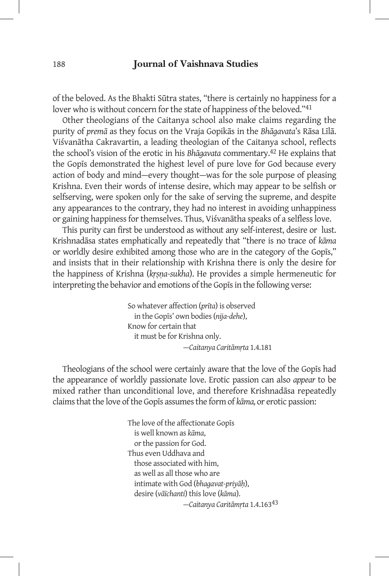of the beloved. As the Bhakti Sūtra states, "there is certainly no happiness for a lover who is without concern for the state of happiness of the beloved."<sup>41</sup>

Other theologians of the Caitanya school also make claims regarding the purity of *premā* as they focus on the Vraja Gopikās in the *Bhāgavata*'s Rāsa Līlā. Viśvanātha Cakravartin, a leading theologian of the Caitanya school, reflects the school's vision of the erotic in his *Bhāgavata* commentary.42 He explains that the Gopīs demonstrated the highest level of pure love for God because every action of body and mind—every thought—was for the sole purpose of pleasing Krishna. Even their words of intense desire, which may appear to be selfish or selfserving, were spoken only for the sake of serving the supreme, and despite any appearances to the contrary, they had no interest in avoiding unhappiness or gaining happiness for themselves. Thus, Viśvanātha speaks of a selfless love.

This purity can first be understood as without any self-interest, desire or lust. Krishnadāsa states emphatically and repeatedly that "there is no trace of *kāma*  or worldly desire exhibited among those who are in the category of the Gopīs," and insists that in their relationship with Krishna there is only the desire for the happiness of Krishna (*kṛṣṇa-sukha*). He provides a simple hermeneutic for interpreting the behavior and emotions of the Gopīs in the following verse:

> So whatever affection (*prīta*) is observed in the Gopīs' own bodies (*nija-dehe*), Know for certain that it must be for Krishna only. —*Caitanya Caritāmṛta* 1.4.181

Theologians of the school were certainly aware that the love of the Gopīs had the appearance of worldly passionate love. Erotic passion can also *appear* to be mixed rather than unconditional love, and therefore Krishnadāsa repeatedly claims that the love of the Gopīs assumes the form of *kāma,* or erotic passion:

> The love of the affectionate Gopīs is well known as *kāma*, or the passion for God. Thus even Uddhava and those associated with him, as well as all those who are intimate with God (*bhagavat-priyāḥ*), desire (*vāïchanti*) this love (*kāma*). *—Caitanya Caritāmṛta* 1.4.16343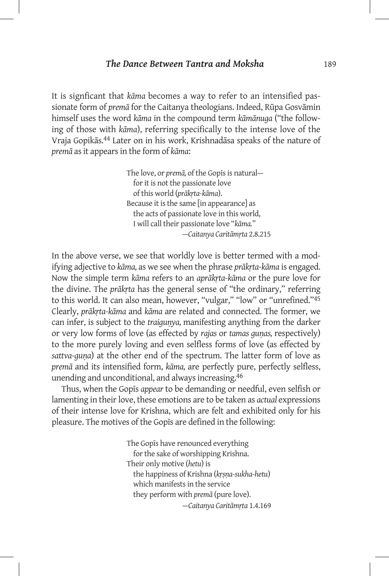It is signficant that *kāma* becomes a way to refer to an intensified passionate form of *premā* for the Caitanya theologians. Indeed, Rūpa Gosvāmin himself uses the word *kāma* in the compound term *kāmānuga* ("the following of those with *kāma*), referring specifically to the intense love of the Vraja Gopikās.44 Later on in his work, Krishnadāsa speaks of the nature of *premā* as it appears in the form of *kāma*:

> The love, or *premā,* of the Gopīs is natural for it is not the passionate love of this world (*prākṛta-kāma*). Because it is the same [in appearance] as the acts of passionate love in this world, I will call their passionate love "*kāma.*" *—Caitanya Caritāmṛta* 2.8.215

In the above verse, we see that worldly love is better termed with a modifying adjective to *kāma,* as we see when the phrase *prākṛta-kāma* is engaged. Now the simple term *kāma* refers to an *aprākṛta-kāma* or the pure love for the divine. The *prākṛta* has the general sense of "the ordinary," referring to this world. It can also mean, however, "vulgar," "low" or "unrefined."45 Clearly, *prākṛta-kāma* and *kāma* are related and connected. The former, we can infer, is subject to the *traiguṇya,* manifesting anything from the darker or very low forms of love (as effected by *rajas* or *tamas guṇas,* respectively) to the more purely loving and even selfless forms of love (as effected by *sattva-guṇa*) at the other end of the spectrum. The latter form of love as *premā* and its intensified form, *kāma,* are perfectly pure, perfectly selfless, unending and unconditional, and always increasing.46

Thus, when the Gopīs *appear* to be demanding or needful, even selfish or lamenting in their love, these emotions are to be taken as *actual* expressions of their intense love for Krishna, which are felt and exhibited only for his pleasure. The motives of the Gopīs are defined in the following:

> The Gopīs have renounced everything for the sake of worshipping Krishna. Their only motive (*hetu*) is the happiness of Krishna (*kṛṣṇa-sukha-hetu*) which manifests in the service they perform with *premā* (pure love). —*Caitanya Caritāmṛta* 1.4.169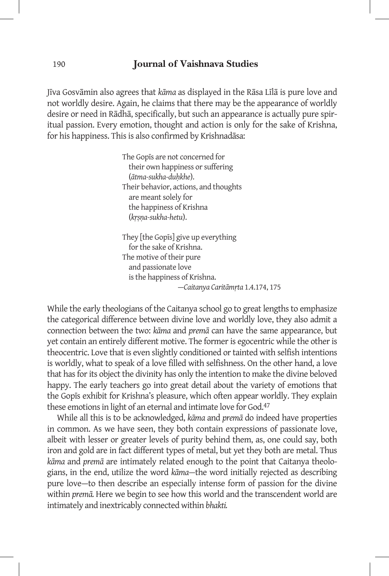Jīva Gosvāmin also agrees that *kāma* as displayed in the Rāsa Līlā is pure love and not worldly desire. Again, he claims that there may be the appearance of worldly desire or need in Rādhā, specifically, but such an appearance is actually pure spiritual passion. Every emotion, thought and action is only for the sake of Krishna, for his happiness. This is also confirmed by Krishnadāsa:

> The Gopīs are not concerned for their own happiness or suffering (*ātma-sukha-duḥkhe*). Their behavior, actions, and thoughts are meant solely for the happiness of Krishna (*kṛṣṇa-sukha-hetu*). They [the Gopīs] give up everything

 for the sake of Krishna. The motive of their pure and passionate love is the happiness of Krishna. —*Caitanya Caritāmṛta* 1.4.174, 175

While the early theologians of the Caitanya school go to great lengths to emphasize the categorical difference between divine love and worldly love, they also admit a connection between the two: *kāma* and *premā* can have the same appearance, but yet contain an entirely different motive. The former is egocentric while the other is theocentric. Love that is even slightly conditioned or tainted with selfish intentions is worldly, what to speak of a love filled with selfishness. On the other hand, a love that has for its object the divinity has only the intention to make the divine beloved happy. The early teachers go into great detail about the variety of emotions that the Gopīs exhibit for Krishna's pleasure, which often appear worldly. They explain these emotions in light of an eternal and intimate love for God.47

While all this is to be acknowledged, *kāma* and *premā* do indeed have properties in common. As we have seen, they both contain expressions of passionate love, albeit with lesser or greater levels of purity behind them, as, one could say, both iron and gold are in fact different types of metal, but yet they both are metal. Thus *kāma* and *premā* are intimately related enough to the point that Caitanya theologians, in the end, utilize the word *kāma—*the word initially rejected as describing pure love—to then describe an especially intense form of passion for the divine within *premā.* Here we begin to see how this world and the transcendent world are intimately and inextricably connected within *bhakti.*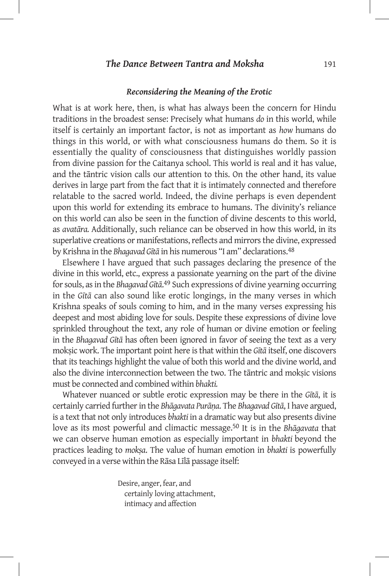#### *Reconsidering the Meaning of the Erotic*

What is at work here, then, is what has always been the concern for Hindu traditions in the broadest sense: Precisely what humans *do* in this world, while itself is certainly an important factor, is not as important as *how* humans do things in this world, or with what consciousness humans do them. So it is essentially the quality of consciousness that distinguishes worldly passion from divine passion for the Caitanya school. This world is real and it has value, and the tāntric vision calls our attention to this. On the other hand, its value derives in large part from the fact that it is intimately connected and therefore relatable to the sacred world. Indeed, the divine perhaps is even dependent upon this world for extending its embrace to humans. The divinity's reliance on this world can also be seen in the function of divine descents to this world, as *avatāra.* Additionally, such reliance can be observed in how this world, in its superlative creations or manifestations, reflects and mirrors the divine, expressed by Krishna in the *Bhagavad Gītā* in his numerous "I am" declarations.48

Elsewhere I have argued that such passages declaring the presence of the divine in this world, etc., express a passionate yearning on the part of the divine for souls, as in the *Bhagavad Gītā*. 49 Such expressions of divine yearning occurring in the *Gītā* can also sound like erotic longings, in the many verses in which Krishna speaks of souls coming to him, and in the many verses expressing his deepest and most abiding love for souls. Despite these expressions of divine love sprinkled throughout the text, any role of human or divine emotion or feeling in the *Bhagavad Gītā* has often been ignored in favor of seeing the text as a very mokṣic work. The important point here is that within the *Gītā* itself, one discovers that its teachings highlight the value of both this world and the divine world, and also the divine interconnection between the two. The tāntric and moksic visions must be connected and combined within *bhakti.* 

Whatever nuanced or subtle erotic expression may be there in the *Gītā*, it is certainly carried further in the *Bhāgavata Purāṇa*. The *Bhagavad Gītā*, I have argued, is a text that not only introduces *bhakti* in a dramatic way but also presents divine love as its most powerful and climactic message.<sup>50</sup> It is in the *Bhāgavata* that we can observe human emotion as especially important in *bhakti* beyond the practices leading to *mokṣa*. The value of human emotion in *bhakti* is powerfully conveyed in a verse within the Rāsa Līlā passage itself:

> Desire, anger, fear, and certainly loving attachment, intimacy and affection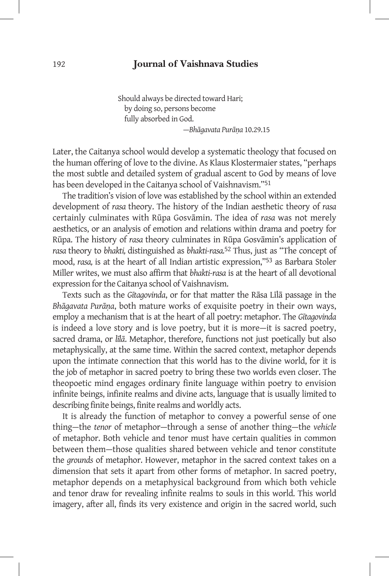Should always be directed toward Hari; by doing so, persons become fully absorbed in God. —*Bhāgavata Purāṇa* 10.29.15

Later, the Caitanya school would develop a systematic theology that focused on the human offering of love to the divine. As Klaus Klostermaier states, "perhaps the most subtle and detailed system of gradual ascent to God by means of love has been developed in the Caitanya school of Vaishnavism."<sup>51</sup>

The tradition's vision of love was established by the school within an extended development of *rasa* theory. The history of the Indian aesthetic theory of *rasa*  certainly culminates with Rūpa Gosvāmin. The idea of *rasa* was not merely aesthetics, or an analysis of emotion and relations within drama and poetry for Rūpa. The history of *rasa* theory culminates in Rūpa Gosvāmin's application of *rasa* theory to *bhakti,* distinguished as *bhakti-rasa.*52 Thus, just as "The concept of mood, *rasa,* is at the heart of all Indian artistic expression,"53 as Barbara Stoler Miller writes, we must also affirm that *bhakti-rasa* is at the heart of all devotional expression for the Caitanya school of Vaishnavism.

Texts such as the *Gītagovinda*, or for that matter the Rāsa Līlā passage in the *Bhāgavata Purāṇa*, both mature works of exquisite poetry in their own ways, employ a mechanism that is at the heart of all poetry: metaphor. The *Gītagovinda* is indeed a love story and is love poetry, but it is more—it is sacred poetry, sacred drama, or *līlā*. Metaphor, therefore, functions not just poetically but also metaphysically, at the same time. Within the sacred context, metaphor depends upon the intimate connection that this world has to the divine world, for it is the job of metaphor in sacred poetry to bring these two worlds even closer. The theopoetic mind engages ordinary finite language within poetry to envision infinite beings, infinite realms and divine acts, language that is usually limited to describing finite beings, finite realms and worldly acts.

It is already the function of metaphor to convey a powerful sense of one thing—the *tenor* of metaphor—through a sense of another thing—the *vehicle*  of metaphor. Both vehicle and tenor must have certain qualities in common between them—those qualities shared between vehicle and tenor constitute the *grounds* of metaphor. However, metaphor in the sacred context takes on a dimension that sets it apart from other forms of metaphor. In sacred poetry, metaphor depends on a metaphysical background from which both vehicle and tenor draw for revealing infinite realms to souls in this world. This world imagery, after all, finds its very existence and origin in the sacred world, such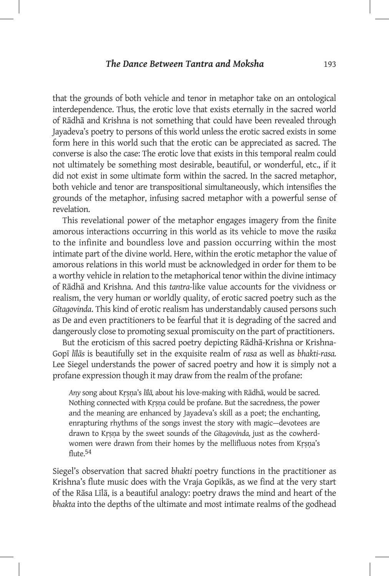that the grounds of both vehicle and tenor in metaphor take on an ontological interdependence. Thus, the erotic love that exists eternally in the sacred world of Rādhā and Krishna is not something that could have been revealed through Jayadeva's poetry to persons of this world unless the erotic sacred exists in some form here in this world such that the erotic can be appreciated as sacred. The converse is also the case: The erotic love that exists in this temporal realm could not ultimately be something most desirable, beautiful, or wonderful, etc., if it did not exist in some ultimate form within the sacred. In the sacred metaphor, both vehicle and tenor are transpositional simultaneously, which intensifies the grounds of the metaphor, infusing sacred metaphor with a powerful sense of revelation.

This revelational power of the metaphor engages imagery from the finite amorous interactions occurring in this world as its vehicle to move the *rasika* to the infinite and boundless love and passion occurring within the most intimate part of the divine world. Here, within the erotic metaphor the value of amorous relations in this world must be acknowledged in order for them to be a worthy vehicle in relation to the metaphorical tenor within the divine intimacy of Rādhā and Krishna. And this *tantra-*like value accounts for the vividness or realism, the very human or worldly quality, of erotic sacred poetry such as the *Gītagovinda*. This kind of erotic realism has understandably caused persons such as De and even practitioners to be fearful that it is degrading of the sacred and dangerously close to promoting sexual promiscuity on the part of practitioners.

But the eroticism of this sacred poetry depicting Rādhā-Krishna or Krishna-Gopī *līlās* is beautifully set in the exquisite realm of *rasa* as well as *bhakti-rasa.*  Lee Siegel understands the power of sacred poetry and how it is simply not a profane expression though it may draw from the realm of the profane:

*Any* song about Kṛṣṇa's *līlā,* about his love-making with Rādhā, would be sacred. Nothing connected with Kṛṣṇa could be profane. But the sacredness, the power and the meaning are enhanced by Jayadeva's skill as a poet; the enchanting, enrapturing rhythms of the songs invest the story with magic—devotees are drawn to Kṛṣṇa by the sweet sounds of the *Gītagovinda,* just as the cowherdwomen were drawn from their homes by the mellifluous notes from Kṛṣṇa's flute.<sup>54</sup>

Siegel's observation that sacred *bhakti* poetry functions in the practitioner as Krishna's flute music does with the Vraja Gopikās, as we find at the very start of the Rāsa Līlā, is a beautiful analogy: poetry draws the mind and heart of the *bhakta* into the depths of the ultimate and most intimate realms of the godhead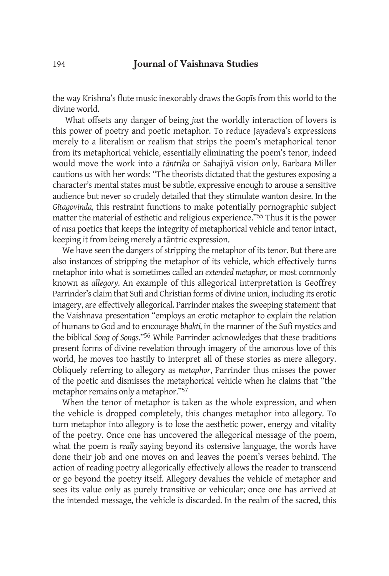the way Krishna's flute music inexorably draws the Gopīs from this world to the divine world.

 What offsets any danger of being *just* the worldly interaction of lovers is this power of poetry and poetic metaphor. To reduce Jayadeva's expressions merely to a literalism or realism that strips the poem's metaphorical tenor from its metaphorical vehicle, essentially eliminating the poem's tenor, indeed would move the work into a *tāntrika* or Sahajiyā vision only. Barbara Miller cautions us with her words: "The theorists dictated that the gestures exposing a character's mental states must be subtle, expressive enough to arouse a sensitive audience but never so crudely detailed that they stimulate wanton desire. In the *Gītagovinda,* this restraint functions to make potentially pornographic subject matter the material of esthetic and religious experience."55 Thus it is the power of *rasa* poetics that keeps the integrity of metaphorical vehicle and tenor intact, keeping it from being merely a tāntric expression.

We have seen the dangers of stripping the metaphor of its tenor. But there are also instances of stripping the metaphor of its vehicle, which effectively turns metaphor into what is sometimes called an *extended metaphor,* or most commonly known as *allegory.* An example of this allegorical interpretation is Geoffrey Parrinder's claim that Sufi and Christian forms of divine union, including its erotic imagery, are effectively allegorical. Parrinder makes the sweeping statement that the Vaishnava presentation "employs an erotic metaphor to explain the relation of humans to God and to encourage *bhakti,* in the manner of the Sufi mystics and the biblical *Song of Songs*."56 While Parrinder acknowledges that these traditions present forms of divine revelation through imagery of the amorous love of this world, he moves too hastily to interpret all of these stories as mere allegory. Obliquely referring to allegory as *metaphor*, Parrinder thus misses the power of the poetic and dismisses the metaphorical vehicle when he claims that "the metaphor remains only a metaphor."57

When the tenor of metaphor is taken as the whole expression, and when the vehicle is dropped completely, this changes metaphor into allegory*.* To turn metaphor into allegory is to lose the aesthetic power, energy and vitality of the poetry. Once one has uncovered the allegorical message of the poem, what the poem is *really* saying beyond its ostensive language, the words have done their job and one moves on and leaves the poem's verses behind. The action of reading poetry allegorically effectively allows the reader to transcend or go beyond the poetry itself. Allegory devalues the vehicle of metaphor and sees its value only as purely transitive or vehicular; once one has arrived at the intended message, the vehicle is discarded. In the realm of the sacred, this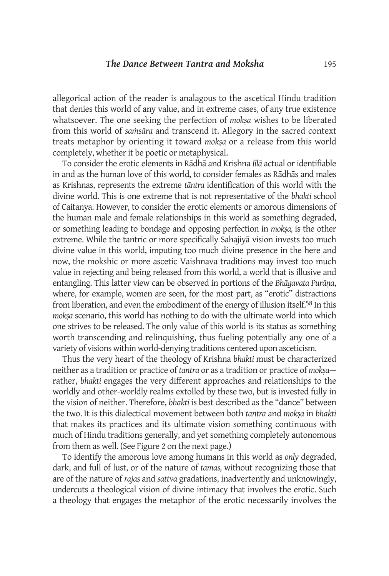allegorical action of the reader is analagous to the ascetical Hindu tradition that denies this world of any value, and in extreme cases, of any true existence whatsoever. The one seeking the perfection of *mokṣa* wishes to be liberated from this world of *saṁsāra* and transcend it. Allegory in the sacred context treats metaphor by orienting it toward *mokṣa* or a release from this world completely, whether it be poetic or metaphysical.

To consider the erotic elements in Rādhā and Krishna *līlā* actual or identifiable in and as the human love of this world, to consider females as Rādhās and males as Krishnas, represents the extreme *tāntra* identification of this world with the divine world. This is one extreme that is not representative of the *bhakti* school of Caitanya. However, to consider the erotic elements or amorous dimensions of the human male and female relationships in this world as something degraded, or something leading to bondage and opposing perfection in *mokṣa,* is the other extreme. While the tantric or more specifically Sahajiyā vision invests too much divine value in this world, imputing too much divine presence in the here and now, the mokshic or more ascetic Vaishnava traditions may invest too much value in rejecting and being released from this world, a world that is illusive and entangling. This latter view can be observed in portions of the *Bhāgavata Purāṇa*, where, for example, women are seen, for the most part, as "erotic" distractions from liberation, and even the embodiment of the energy of illusion itself.58 In this *mokṣa* scenario, this world has nothing to do with the ultimate world into which one strives to be released. The only value of this world is its status as something worth transcending and relinquishing, thus fueling potentially any one of a variety of visions within world-denying traditions centered upon asceticism.

Thus the very heart of the theology of Krishna *bhakti* must be characterized neither as a tradition or practice of *tantra* or as a tradition or practice of *mokṣa* rather, *bhakti* engages the very different approaches and relationships to the worldly and other-worldly realms extolled by these two, but is invested fully in the vision of neither. Therefore, *bhakti* is best described as the "dance" between the two. It is this dialectical movement between both *tantra* and *mokṣa* in *bhakti*  that makes its practices and its ultimate vision something continuous with much of Hindu traditions generally, and yet something completely autonomous from them as well. (See Figure 2 on the next page.)

To identify the amorous love among humans in this world as *only* degraded, dark, and full of lust, or of the nature of *tamas,* without recognizing those that are of the nature of *rajas* and *sattva* gradations, inadvertently and unknowingly, undercuts a theological vision of divine intimacy that involves the erotic. Such a theology that engages the metaphor of the erotic necessarily involves the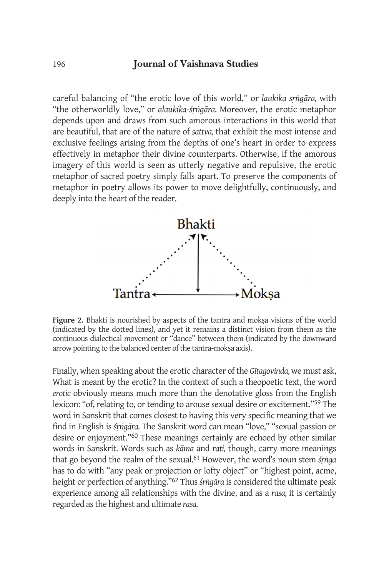careful balancing of "the erotic love of this world," or *laukika sṛṅgāra,* with "the otherworldly love," or *alaukika-śṛṅgāra.* Moreover, the erotic metaphor depends upon and draws from such amorous interactions in this world that are beautiful, that are of the nature of *sattva,* that exhibit the most intense and exclusive feelings arising from the depths of one's heart in order to express effectively in metaphor their divine counterparts. Otherwise, if the amorous imagery of this world is seen as utterly negative and repulsive, the erotic metaphor of sacred poetry simply falls apart. To preserve the components of metaphor in poetry allows its power to move delightfully, continuously, and deeply into the heart of the reader.



Figure 2. Bhakti is nourished by aspects of the tantra and mokṣa visions of the world (indicated by the dotted lines), and yet it remains a distinct vision from them as the continuous dialectical movement or "dance" between them (indicated by the downward arrow pointing to the balanced center of the tantra-moksa axis).

Finally, when speaking about the erotic character of the *Gītagovinda,* we must ask, What is meant by the erotic? In the context of such a theopoetic text, the word *erotic* obviously means much more than the denotative gloss from the English lexicon: "of, relating to, or tending to arouse sexual desire or excitement."59 The word in Sanskrit that comes closest to having this very specific meaning that we find in English is *śṛṅgāra.* The Sanskrit word can mean "love," "sexual passion or desire or enjoyment."60 These meanings certainly are echoed by other similar words in Sanskrit. Words such as *kāma* and *rati,* though, carry more meanings that go beyond the realm of the sexual.61 However, the word's noun stem *śṛṅga*  has to do with "any peak or projection or lofty object" or "highest point, acme, height or perfection of anything."62 Thus *śṛṅgāra* is considered the ultimate peak experience among all relationships with the divine, and as a *rasa,* it is certainly regarded as the highest and ultimate *rasa.*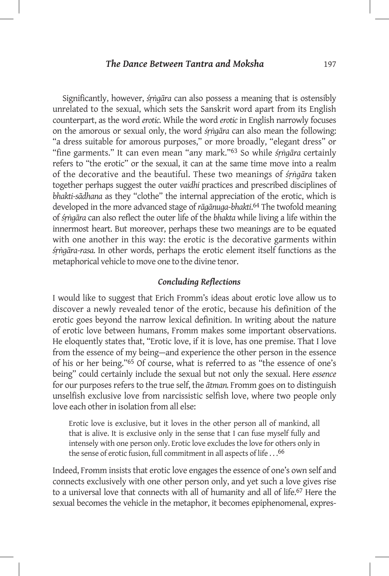Significantly, however, *śṛṅgāra* can also possess a meaning that is ostensibly unrelated to the sexual, which sets the Sanskrit word apart from its English counterpart, as the word *erotic.* While the word *erotic* in English narrowly focuses on the amorous or sexual only, the word *śṛṅgāra* can also mean the following: "a dress suitable for amorous purposes," or more broadly, "elegant dress" or "fine garments." It can even mean "any mark."63 So while *śṛṅgāra* certainly refers to "the erotic" or the sexual, it can at the same time move into a realm of the decorative and the beautiful. These two meanings of *śṛṅgāra* taken together perhaps suggest the outer *vaidhi* practices and prescribed disciplines of *bhakti-sādhana* as they "clothe" the internal appreciation of the erotic, which is developed in the more advanced stage of *rāgānuga*-*bhakti*. 64 The twofold meaning of *śṛṅgāra* can also reflect the outer life of the *bhakta* while living a life within the innermost heart. But moreover, perhaps these two meanings are to be equated with one another in this way: the erotic is the decorative garments within *śṛṅgāra-rasa.* In other words, perhaps the erotic element itself functions as the metaphorical vehicle to move one to the divine tenor.

## *Concluding Reflections*

I would like to suggest that Erich Fromm's ideas about erotic love allow us to discover a newly revealed tenor of the erotic, because his definition of the erotic goes beyond the narrow lexical definition. In writing about the nature of erotic love between humans, Fromm makes some important observations. He eloquently states that, "Erotic love, if it is love, has one premise. That I love from the essence of my being—and experience the other person in the essence of his or her being."65 Of course, what is referred to as "the essence of one's being" could certainly include the sexual but not only the sexual. Here *essence*  for our purposes refers to the true self, the *ātman.* Fromm goes on to distinguish unselfish exclusive love from narcissistic selfish love, where two people only love each other in isolation from all else:

Erotic love is exclusive, but it loves in the other person all of mankind, all that is alive. It is exclusive only in the sense that I can fuse myself fully and intensely with one person only. Erotic love excludes the love for others only in the sense of erotic fusion, full commitment in all aspects of life . . .66

Indeed, Fromm insists that erotic love engages the essence of one's own self and connects exclusively with one other person only, and yet such a love gives rise to a universal love that connects with all of humanity and all of life.67 Here the sexual becomes the vehicle in the metaphor, it becomes epiphenomenal, expres-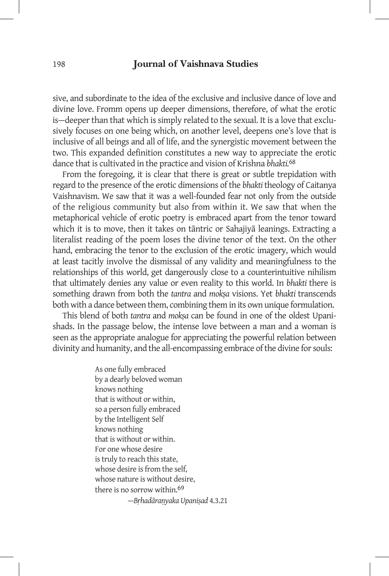sive, and subordinate to the idea of the exclusive and inclusive dance of love and divine love. Fromm opens up deeper dimensions, therefore, of what the erotic is—deeper than that which is simply related to the sexual. It is a love that exclusively focuses on one being which, on another level, deepens one's love that is inclusive of all beings and all of life, and the synergistic movement between the two. This expanded definition constitutes a new way to appreciate the erotic dance that is cultivated in the practice and vision of Krishna *bhakti.*68

From the foregoing, it is clear that there is great or subtle trepidation with regard to the presence of the erotic dimensions of the *bhakti* theology of Caitanya Vaishnavism. We saw that it was a well-founded fear not only from the outside of the religious community but also from within it. We saw that when the metaphorical vehicle of erotic poetry is embraced apart from the tenor toward which it is to move, then it takes on tāntric or Sahajiyā leanings. Extracting a literalist reading of the poem loses the divine tenor of the text. On the other hand, embracing the tenor to the exclusion of the erotic imagery, which would at least tacitly involve the dismissal of any validity and meaningfulness to the relationships of this world, get dangerously close to a counterintuitive nihilism that ultimately denies any value or even reality to this world. In *bhakti* there is something drawn from both the *tantra* and *mokṣa* visions. Yet *bhakti* transcends both with a dance between them, combining them in its own unique formulation.

This blend of both *tantra* and *mokṣa* can be found in one of the oldest Upanishads. In the passage below, the intense love between a man and a woman is seen as the appropriate analogue for appreciating the powerful relation between divinity and humanity, and the all-encompassing embrace of the divine for souls:

> As one fully embraced by a dearly beloved woman knows nothing that is without or within, so a person fully embraced by the Intelligent Self knows nothing that is without or within. For one whose desire is truly to reach this state, whose desire is from the self, whose nature is without desire, there is no sorrow within.69 —*Bṛhadāraṇyaka Upaniṣad* 4.3.21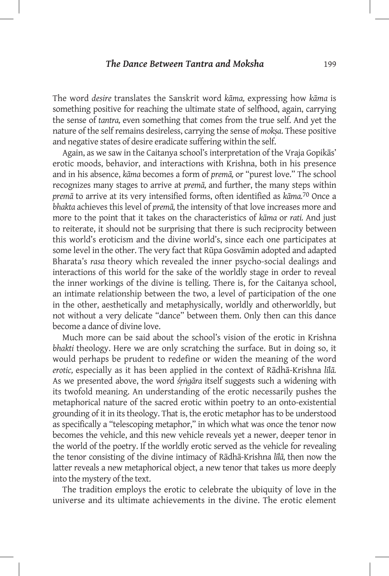The word *desire* translates the Sanskrit word *kāma,* expressing how *kāma* is something positive for reaching the ultimate state of selfhood, again, carrying the sense of *tantra,* even something that comes from the true self. And yet the nature of the self remains desireless, carrying the sense of *mokṣa*. These positive and negative states of desire eradicate suffering within the self.

Again, as we saw in the Caitanya school's interpretation of the Vraja Gopikās' erotic moods, behavior, and interactions with Krishna, both in his presence and in his absence, *kāma* becomes a form of *premā,* or "purest love." The school recognizes many stages to arrive at *premā,* and further, the many steps within *premā* to arrive at its very intensified forms, often identified as *kāma.*70 Once a *bhakta* achieves this level of *premā,* the intensity of that love increases more and more to the point that it takes on the characteristics of *kāma* or *rati.* And just to reiterate, it should not be surprising that there is such reciprocity between this world's eroticism and the divine world's, since each one participates at some level in the other. The very fact that Rūpa Gosvāmin adopted and adapted Bharata's *rasa* theory which revealed the inner psycho-social dealings and interactions of this world for the sake of the worldly stage in order to reveal the inner workings of the divine is telling. There is, for the Caitanya school, an intimate relationship between the two, a level of participation of the one in the other, aesthetically and metaphysically, worldly and otherworldly, but not without a very delicate "dance" between them. Only then can this dance become a dance of divine love.

Much more can be said about the school's vision of the erotic in Krishna *bhakti* theology. Here we are only scratching the surface. But in doing so, it would perhaps be prudent to redefine or widen the meaning of the word *erotic,* especially as it has been applied in the context of Rādhā-Krishna *līlā.*  As we presented above, the word *śṛṅgāra* itself suggests such a widening with its twofold meaning. An understanding of the erotic necessarily pushes the metaphorical nature of the sacred erotic within poetry to an onto-existential grounding of it in its theology. That is, the erotic metaphor has to be understood as specifically a "telescoping metaphor," in which what was once the tenor now becomes the vehicle, and this new vehicle reveals yet a newer, deeper tenor in the world of the poetry. If the worldly erotic served as the vehicle for revealing the tenor consisting of the divine intimacy of Rādhā-Krishna *līlā,* then now the latter reveals a new metaphorical object, a new tenor that takes us more deeply into the mystery of the text.

The tradition employs the erotic to celebrate the ubiquity of love in the universe and its ultimate achievements in the divine. The erotic element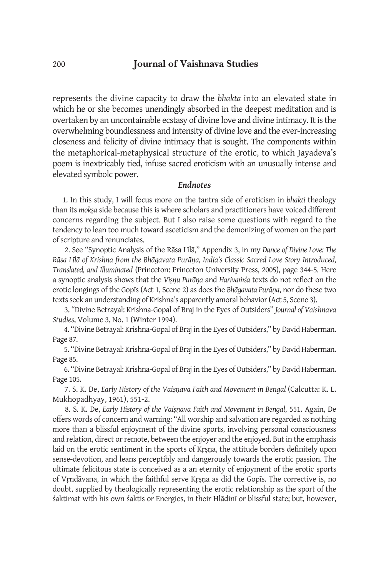represents the divine capacity to draw the *bhakta* into an elevated state in which he or she becomes unendingly absorbed in the deepest meditation and is overtaken by an uncontainable ecstasy of divine love and divine intimacy. It is the overwhelming boundlessness and intensity of divine love and the ever-increasing closeness and felicity of divine intimacy that is sought. The components within the metaphorical-metaphysical structure of the erotic, to which Jayadeva's poem is inextricably tied, infuse sacred eroticism with an unusually intense and elevated symbolc power.

### *Endnotes*

1. In this study, I will focus more on the tantra side of eroticism in *bhakti* theology than its *mokṣa* side because this is where scholars and practitioners have voiced different concerns regarding the subject. But I also raise some questions with regard to the tendency to lean too much toward asceticism and the demonizing of women on the part of scripture and renunciates.

 2. See "Synoptic Analysis of the Rāsa Līlā," Appendix 3, in my *Dance of Divine Love: The Rāsa Līlā of Krishna from the Bhāgavata Purāṇa, India's Classic Sacred Love Story Introduced, Translated, and Illuminated* (Princeton: Princeton University Press, 2005), page 344-5. Here a synoptic analysis shows that the *Viṣṇu Purāṇa* and *Harivaṁśa* texts do not reflect on the erotic longings of the Gopīs (Act 1, Scene 2) as does the *Bhāgavata Purāṇa*, nor do these two texts seek an understanding of Krishna's apparently amoral behavior (Act 5, Scene 3).

 3. "Divine Betrayal: Krishna-Gopal of Braj in the Eyes of Outsiders" *Journal of Vaishnava Studies*, Volume 3, No. 1 (Winter 1994).

 4. "Divine Betrayal: Krishna-Gopal of Braj in the Eyes of Outsiders," by David Haberman. Page 87.

 5. "Divine Betrayal: Krishna-Gopal of Braj in the Eyes of Outsiders," by David Haberman. Page 85.

 6. "Divine Betrayal: Krishna-Gopal of Braj in the Eyes of Outsiders," by David Haberman. Page 105.

 7. S. K. De, *Early History of the Vaiṣṇava Faith and Movement in Bengal* (Calcutta: K. L. Mukhopadhyay, 1961), 551-2.

 8. S. K. De, *Early History of the Vaiṣṇava Faith and Movement in Bengal*, 551. Again, De offers words of concern and warning: "All worship and salvation are regarded as nothing more than a blissful enjoyment of the divine sports, involving personal consciousness and relation, direct or remote, between the enjoyer and the enjoyed. But in the emphasis laid on the erotic sentiment in the sports of Kṛṣṇa, the attitude borders definitely upon sense-devotion, and leans perceptibly and dangerously towards the erotic passion. The ultimate felicitous state is conceived as a an eternity of enjoyment of the erotic sports of Vṛndāvana, in which the faithful serve Kṛṣṇa as did the Gopīs. The corrective is, no doubt, supplied by theologically representing the erotic relationship as the sport of the śaktimat with his own śaktis or Energies, in their Hlādinī or blissful state; but, however,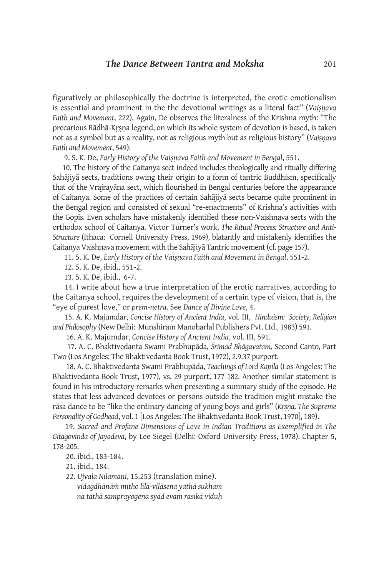figuratively or philosophically the doctrine is interpreted, the erotic emotionalism is essential and prominent in the the devotional writings as a literal fact" (*Vaiṣṇava Faith and Movement*, 222). Again, De observes the literalness of the Krishna myth: "The precarious Rādhā-Kṛṣṇa legend, on which its whole system of devotion is based, is taken not as a symbol but as a reality, not as religious myth but as religious history" (*Vaiṣṇava Faith and Movement*, 549).

9. S. K. De, *Early History of the Vaiṣṇava Faith and Movement in Bengal*, 551.

10. The history of the Caitanya sect indeed includes theologically and ritually differing Sahājiyā sects, traditions owing their origin to a form of tantric Buddhism, specifically that of the Vrajrayāna sect, which flourished in Bengal centuries before the appearance of Caitanya. Some of the practices of certain Sahājiyā sects became quite prominent in the Bengal region and consisted of sexual "re-enactments" of Krishna's activities with the Gopīs. Even scholars have mistakenly identified these non-Vaishnava sects with the orthodox school of Caitanya. Victor Turner's work, *The Ritual Process: Structure and Anti-Structure* (Ithaca: Cornell University Press, 1969), blatantly and mistakenly identifies the Caitanya Vaishnava movement with the Sahājiyā Tantric movement (cf. page 157).

11. S. K. De, *Early History of the Vaiṣṇava Faith and Movement in Bengal*, 551-2.

12. S. K. De, ibid., 551-2.

13. S. K. De, ibid., 6-7.

 14. I write about how a true interpretation of the erotic narratives, according to the Caitanya school, requires the development of a certain type of vision, that is, the "eye of purest love," or *prem-netra*. See *Dance of Divine Love*, 4.

 15. A. K. Majumdar, *Concise History of Ancient India*, vol. III, *Hinduism: Society, Religion and Philosophy* (New Delhi: Munshiram Manoharlal Publishers Pvt. Ltd., 1983) 591.

16. A. K. Majumdar, *Concise History of Ancient India*, vol. III, 591.

 17. A. C. Bhaktivedanta Swami Prabhupāda, *Śrīmad Bhāgavatam,* Second Canto, Part Two (Los Angeles: The Bhaktivedanta Book Trust, 1972), 2.9.37 purport.

 18. A. C. Bhaktivedanta Swami Prabhupāda, *Teachings of Lord Kapila* (Los Angeles: The Bhaktivedanta Book Trust, 1977), vs. 29 purport, 177-182. Another similar statement is found in his introductory remarks when presenting a summary study of the episode. He states that less advanced devotees or persons outside the tradition might mistake the rāsa dance to be "like the ordinary dancing of young boys and girls" (*Kṛṣṇa, The Supreme Personality of Godhead*, vol. 1 [Los Angeles: The Bhaktivedanta Book Trust, 1970], 189).

 19. *Sacred and Profane Dimensions of Love in Indian Traditions as Exemplified in The Gītagovinda of Jayadeva*, by Lee Siegel (Delhi: Oxford University Press, 1978). Chapter 5, 178-205.

20. ibid., 183-184.

21. ibid., 184.

 22. *Ujvala Nilamaṇi*, 15.253 (translation mine).  *vidagdhānāṁ mitho līlā-vilāsena yathā sukham na tathā samprayogeṇa syād evaṁ rasikā viduḥ*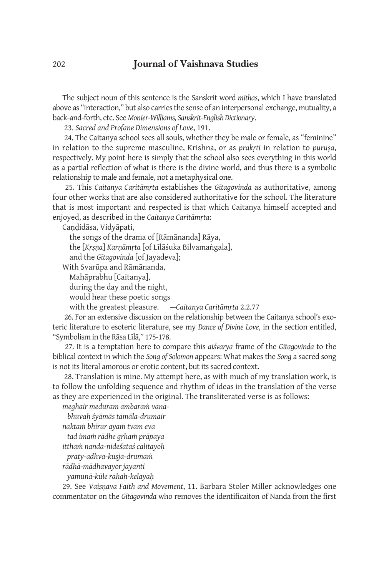The subject noun of this sentence is the Sanskrit word *mithas*, which I have translated above as "interaction," but also carries the sense of an interpersonal exchange, mutuality, a back-and-forth, etc. See *Monier-Williams, Sanskrit-English Dictionary*.

23. *Sacred and Profane Dimensions of Love*, 191.

 24. The Caitanya school sees all souls, whether they be male or female, as "feminine" in relation to the supreme masculine, Krishna, or as *prakṛti* in relation to *puruṣa*, respectively. My point here is simply that the school also sees everything in this world as a partial reflection of what is there is the divine world, and thus there is a symbolic relationship to male and female, not a metaphysical one.

 25. This *Caitanya Caritāmṛta* establishes the *Gītagovinda* as authoritative, among four other works that are also considered authoritative for the school. The literature that is most important and respected is that which Caitanya himself accepted and enjoyed, as described in the *Caitanya Caritāmṛta*:

Candidāsa, Vidyāpati,

the songs of the drama of [Rāmānanda] Rāya,

the [*Kṛṣṇa*] *Karṇāmṛta* [of Līlāśuka Bilvamaṅgala],

and the *Gītagovinda* [of Jayadeva];

With Svarūpa and Rāmānanda,

Mahāprabhu [Caitanya],

during the day and the night,

would hear these poetic songs

with the greatest pleasure. —*Caitanya Caritāmṛta* 2.2.77

 26. For an extensive discussion on the relationship between the Caitanya school's exoteric literature to esoteric literature, see my *Dance of Divine Love*, in the section entitled, "Symbolism in the Rāsa Līlā," 175-178.

 27. It is a temptation here to compare this *aiśvarya* frame of the *Gītagovinda* to the biblical context in which the *Song of Solomon* appears: What makes the *Song* a sacred song is not its literal amorous or erotic content, but its sacred context.

 28. Translation is mine. My attempt here, as with much of my translation work, is to follow the unfolding sequence and rhythm of ideas in the translation of the verse as they are experienced in the original. The transliterated verse is as follows:

*meghair meduram ambaraṁ vana-*

 *bhuvaḥ śyāmās tamāla-drumair*

*naktaṁ bhīrur ayaṁ tvam eva* 

 *tad imaṁ rādhe gṛhaṁ prāpaya*

*itthaṁ nanda-nideśataś calitayoḥ*

 *praty-adhva-kuṣja-drumaṁ*

*rādhā-mādhavayor jayanti* 

 *yamunā-kūle rahaḥ-kelayaḥ*

29. See *Vaiṣṇava Faith and Movement*, 11. Barbara Stoler Miller acknowledges one commentator on the *Gītagovinda* who removes the identificaiton of Nanda from the first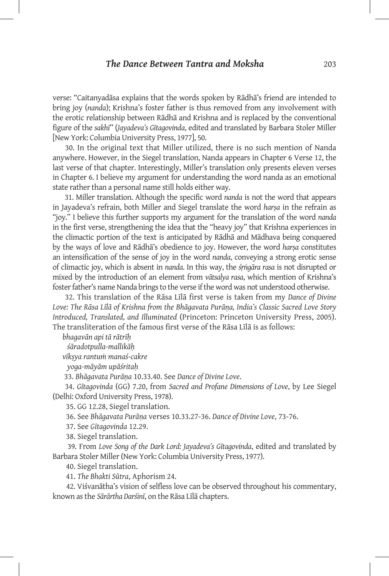verse: "Caitanyadāsa explains that the words spoken by Rādhā's friend are intended to bring joy (*nanda*); Krishna's foster father is thus removed from any involvement with the erotic relationship between Rādhā and Krishna and is replaced by the conventional figure of the *sakhī*" (*Jayadeva's Gītagovinda*, edited and translated by Barbara Stoler Miller [New York: Columbia University Press, 1977], 50.

 30. In the original text that Miller utilized, there is no such mention of Nanda anywhere. However, in the Siegel translation, Nanda appears in Chapter 6 Verse 12, the last verse of that chapter. Interestingly, Miller's translation only presents eleven verses in Chapter 6. I believe my argument for understanding the word nanda as an emotional state rather than a personal name still holds either way.

 31. Miller translation. Although the specific word *nanda* is not the word that appears in Jayadeva's refrain, both Miller and Siegel translate the word *harṣa* in the refrain as "joy." I believe this further supports my argument for the translation of the word *nanda* in the first verse, strengthening the idea that the "heavy joy" that Krishna experiences in the climactic portion of the text is anticipated by Rādhā and Mādhava being conquered by the ways of love and Rādhā's obedience to joy. However, the word *harṣa* constitutes an intensification of the sense of joy in the word *nanda*, conveying a strong erotic sense of climactic joy, which is absent in *nanda*. In this way, the *śṛṅgāra rasa* is not disrupted or mixed by the introduction of an element from *vātsalya rasa*, which mention of Krishna's foster father's name Nanda brings to the verse if the word was not understood otherwise.

 32. This translation of the Rāsa Līlā first verse is taken from my *Dance of Divine Love: The Rāsa Līlā of Krishna from the Bhāgavata Purāṇa, India's Classic Sacred Love Story Introduced, Translated, and Illuminated* (Princeton: Princeton University Press, 2005). The transliteration of the famous first verse of the Rāsa Līlā is as follows:

*bhagavān api tā rātrīḥ*

 *śāradotpulla-mallikāḥ* 

*vīkṣya rantuṁ manaś-cakre*

 *yoga-māyām upāśritaḥ*

33. *Bhāgavata Purāṇa* 10.33.40. See *Dance of Divine Love*.

 34. *Gītagovinda* (GG) 7.20, from *Sacred and Profane Dimensions of Love*, by Lee Siegel (Delhi: Oxford University Press, 1978).

35. GG 12.28, Siegel translation.

36. See *Bhāgavata Purāṇa* verses 10.33.27-36. *Dance of Divine Love*, 73-76.

37. See *Gītagovinda* 12.29.

38. Siegel translation.

 39. From *Love Song of the Dark Lord: Jayadeva's Gītagovinda*, edited and translated by Barbara Stoler Miller (New York: Columbia University Press, 1977).

40. Siegel translation.

41. *The Bhakti Sūtra*, Aphorism 24.

 42. Viśvanātha's vision of selfless love can be observed throughout his commentary, known as the *Sārārtha Darśinī*, on the Rāsa Līlā chapters.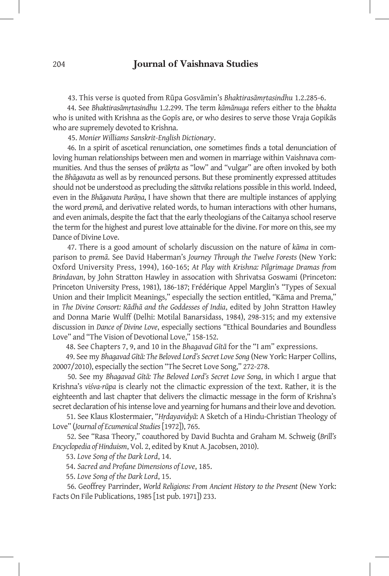43. This verse is quoted from Rūpa Gosvāmin's *Bhaktirasāmṛtasindhu* 1.2.285-6.

 44. See *Bhaktirasāmṛtasindhu* 1.2.299. The term *kāmānuga* refers either to the *bhakta* who is united with Krishna as the Gopīs are, or who desires to serve those Vraja Gopikās who are supremely devoted to Krishna.

45. *Monier Williams Sanskrit-English Dictionary*.

 46. In a spirit of ascetical renunciation, one sometimes finds a total denunciation of loving human relationships between men and women in marriage within Vaishnava communities. And thus the senses of *prākṛta* as "low" and "vulgar" are often invoked by both the *Bhāgavata* as well as by renounced persons. But these prominently expressed attitudes should not be understood as precluding the *sāttvika* relations possible in this world. Indeed, even in the *Bhāgavata Purāṇa*, I have shown that there are multiple instances of applying the word *premā*, and derivative related words, to human interactions with other humans, and even animals, despite the fact that the early theologians of the Caitanya school reserve the term for the highest and purest love attainable for the divine. For more on this, see my Dance of Divine Love.

 47. There is a good amount of scholarly discussion on the nature of *kāma* in comparison to *premā*. See David Haberman's *Journey Through the Twelve Forests* (New York: Oxford University Press, 1994), 160-165; *At Play with Krishna: Pilgrimage Dramas from Brindavan*, by John Stratton Hawley in assocation with Shrivatsa Goswami (Princeton: Princeton University Press, 1981), 186-187; Frédérique Appel Marglin's "Types of Sexual Union and their Implicit Meanings," especially the section entitled, "Kāma and Prema," in *The Divine Consort: Rādhā and the Goddesses of India*, edited by John Stratton Hawley and Donna Marie Wulff (Delhi: Motilal Banarsidass, 1984), 298-315; and my extensive discussion in *Dance of Divine Love*, especially sections "Ethical Boundaries and Boundless Love" and "The Vision of Devotional Love," 158-152.

48. See Chapters 7, 9, and 10 in the *Bhagavad Gītā* for the "I am" expressions.

 49. See my *Bhagavad Gītā: The Beloved Lord's Secret Love Song* (New York: Harper Collins, 20007/2010), especially the section "The Secret Love Song," 272-278.

 50. See my *Bhagavad Gītā: The Beloved Lord's Secret Love Song*, in which I argue that Krishna's *viśva-rūpa* is clearly not the climactic expression of the text. Rather, it is the eighteenth and last chapter that delivers the climactic message in the form of Krishna's secret declaration of his intense love and yearning for humans and their love and devotion.

 51. See Klaus Klostermaier, "*Hṛdayavidyā*: A Sketch of a Hindu-Christian Theology of Love" (*Journal of Ecumenical Studies* [1972]), 765.

 52. See "Rasa Theory," coauthored by David Buchta and Graham M. Schweig (*Brill's Encyclopedia of Hinduism*, Vol. 2, edited by Knut A. Jacobsen, 2010).

53. *Love Song of the Dark Lord*, 14.

54. *Sacred and Profane Dimensions of Love*, 185.

55. *Love Song of the Dark Lord*, 15.

 56. Geoffrey Parrinder, *World Religions: From Ancient History to the Present* (New York: Facts On File Publications, 1985 [1st pub. 1971]) 233.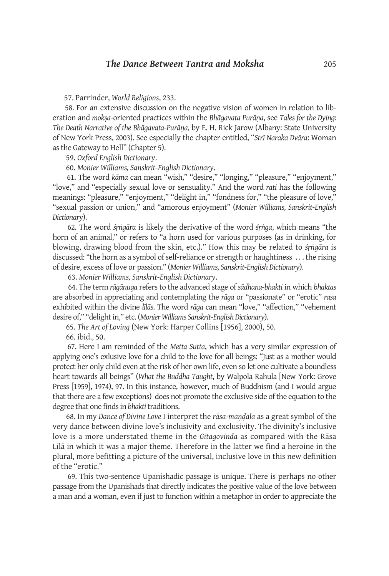57. Parrinder, *World Religions*, 233.

 58. For an extensive discussion on the negative vision of women in relation to liberation and *mokṣa*-oriented practices within the *Bhāgavata Purāṇa*, see *Tales for the Dying: The Death Narrative of the Bhāgavata-Purāṇa*, by E. H. Rick Jarow (Albany: State University of New York Press, 2003). See especially the chapter entitled, "*Strī Naraka Dvāra*: Woman as the Gateway to Hell" (Chapter 5).

59. *Oxford English Dictionary*.

60. *Monier Williams, Sanskrit-English Dictionary*.

 61. The word *kāma* can mean "wish," "desire," "longing," "pleasure," "enjoyment," "love," and "especially sexual love or sensuality." And the word *rati* has the following meanings: "pleasure," "enjoyment," "delight in," "fondness for," "the pleasure of love," "sexual passion or union," and "amorous enjoyment" (*Monier Williams, Sanskrit-English Dictionary*).

 62. The word *śṛṅgāra* is likely the derivative of the word *śṛṅga*, which means "the horn of an animal," or refers to "a horn used for various purposes (as in drinking, for blowing, drawing blood from the skin, etc.)." How this may be related to *śṛṅgāra* is discussed: "the horn as a symbol of self-reliance or strength or haughtiness . . . the rising of desire, excess of love or passion." (*Monier Williams, Sanskrit-English Dictionary*).

63. *Monier Williams, Sanskrit-English Dictionary*.

 64. The term *rāgānuga* refers to the advanced stage of *sādhana-bhakti* in which *bhaktas* are absorbed in appreciating and contemplating the *rāga* or "passionate" or "erotic" *rasa* exhibited within the divine *līlās*. The word *rāga* can mean "love," "affection," "vehement desire of," "delight in," etc. (*Monier Williams Sanskrit-English Dictionary*).

65. *The Art of Loving* (New York: Harper Collins [1956], 2000), 50.

66. ibid., 50.

 67. Here I am reminded of the *Metta Sutta*, which has a very similar expression of applying one's exlusive love for a child to the love for all beings: "Just as a mother would protect her only child even at the risk of her own life, even so let one cultivate a boundless heart towards all beings" (*What the Buddha Taught*, by Walpola Rahula [New York: Grove Press [1959], 1974), 97. In this instance, however, much of Buddhism (and I would argue that there are a few exceptions) does not promote the exclusive side of the equation to the degree that one finds in *bhakti* traditions.

 68. In my *Dance of Divine Love* I interpret the *rāsa-maṇḍala* as a great symbol of the very dance between divine love's inclusivity and exclusivity. The divinity's inclusive love is a more understated theme in the *Gītagovinda* as compared with the Rāsa Līlā in which it was a major theme. Therefore in the latter we find a heroine in the plural, more befitting a picture of the universal, inclusive love in this new definition of the "erotic."

 69. This two-sentence Upanishadic passage is unique. There is perhaps no other passage from the Upanishads that directly indicates the positive value of the love between a man and a woman, even if just to function within a metaphor in order to appreciate the